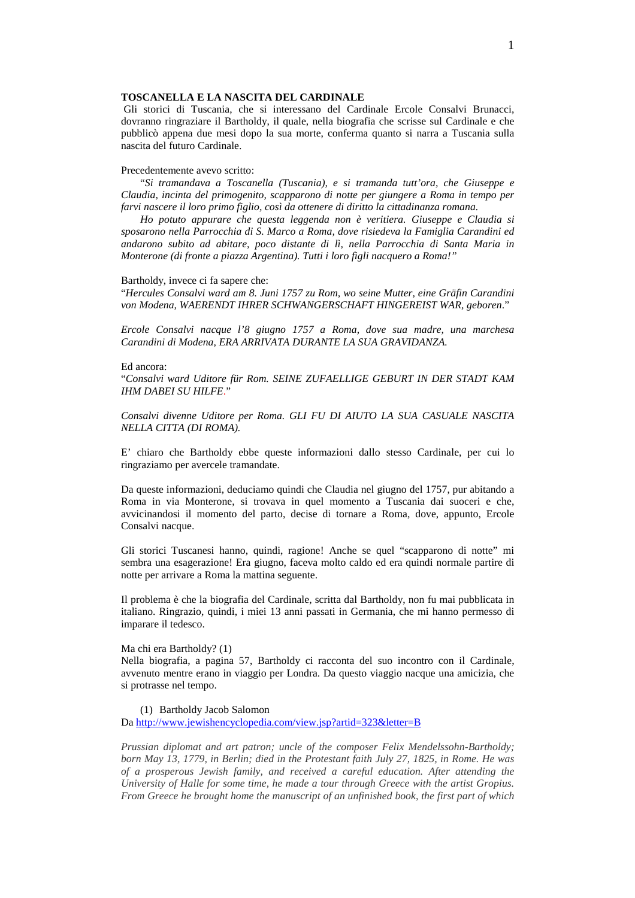# **TOSCANELLA E LA NASCITA DEL CARDINALE**

 Gli storici di Tuscania, che si interessano del Cardinale Ercole Consalvi Brunacci, dovranno ringraziare il Bartholdy, il quale, nella biografia che scrisse sul Cardinale e che pubblicò appena due mesi dopo la sua morte, conferma quanto si narra a Tuscania sulla nascita del futuro Cardinale.

## Precedentemente avevo scritto:

"*Si tramandava a Toscanella (Tuscania), e si tramanda tutt'ora, che Giuseppe e Claudia, incinta del primogenito, scapparono di notte per giungere a Roma in tempo per farvi nascere il loro primo figlio, così da ottenere di diritto la cittadinanza romana.* 

*Ho potuto appurare che questa leggenda non è veritiera. Giuseppe e Claudia si sposarono nella Parrocchia di S. Marco a Roma, dove risiedeva la Famiglia Carandini ed andarono subito ad abitare, poco distante di lì, nella Parrocchia di Santa Maria in Monterone (di fronte a piazza Argentina). Tutti i loro figli nacquero a Roma!"* 

#### Bartholdy, invece ci fa sapere che:

"*Hercules Consalvi ward am 8. Juni 1757 zu Rom, wo seine Mutter, eine Gräfin Carandini von Modena, WAERENDT IHRER SCHWANGERSCHAFT HINGEREIST WAR, geboren*."

*Ercole Consalvi nacque l'8 giugno 1757 a Roma, dove sua madre, una marchesa Carandini di Modena, ERA ARRIVATA DURANTE LA SUA GRAVIDANZA.* 

#### Ed ancora:

"*Consalvi ward Uditore für Rom. SEINE ZUFAELLIGE GEBURT IN DER STADT KAM IHM DABEI SU HILFE*."

*Consalvi divenne Uditore per Roma. GLI FU DI AIUTO LA SUA CASUALE NASCITA NELLA CITTA (DI ROMA).* 

E' chiaro che Bartholdy ebbe queste informazioni dallo stesso Cardinale, per cui lo ringraziamo per avercele tramandate.

Da queste informazioni, deduciamo quindi che Claudia nel giugno del 1757, pur abitando a Roma in via Monterone, si trovava in quel momento a Tuscania dai suoceri e che, avvicinandosi il momento del parto, decise di tornare a Roma, dove, appunto, Ercole Consalvi nacque.

Gli storici Tuscanesi hanno, quindi, ragione! Anche se quel "scapparono di notte" mi sembra una esagerazione! Era giugno, faceva molto caldo ed era quindi normale partire di notte per arrivare a Roma la mattina seguente.

Il problema è che la biografia del Cardinale, scritta dal Bartholdy, non fu mai pubblicata in italiano. Ringrazio, quindi, i miei 13 anni passati in Germania, che mi hanno permesso di imparare il tedesco.

## Ma chi era Bartholdy? (1)

Nella biografia, a pagina 57, Bartholdy ci racconta del suo incontro con il Cardinale, avvenuto mentre erano in viaggio per Londra. Da questo viaggio nacque una amicizia, che si protrasse nel tempo.

# (1) Bartholdy Jacob Salomon

Da http://www.jewishencyclopedia.com/view.jsp?artid=323&letter=B

*Prussian diplomat and art patron; uncle of the composer Felix Mendelssohn-Bartholdy; born May 13, 1779, in Berlin; died in the Protestant faith July 27, 1825, in Rome. He was of a prosperous Jewish family, and received a careful education. After attending the University of Halle for some time, he made a tour through Greece with the artist Gropius. From Greece he brought home the manuscript of an unfinished book, the first part of which*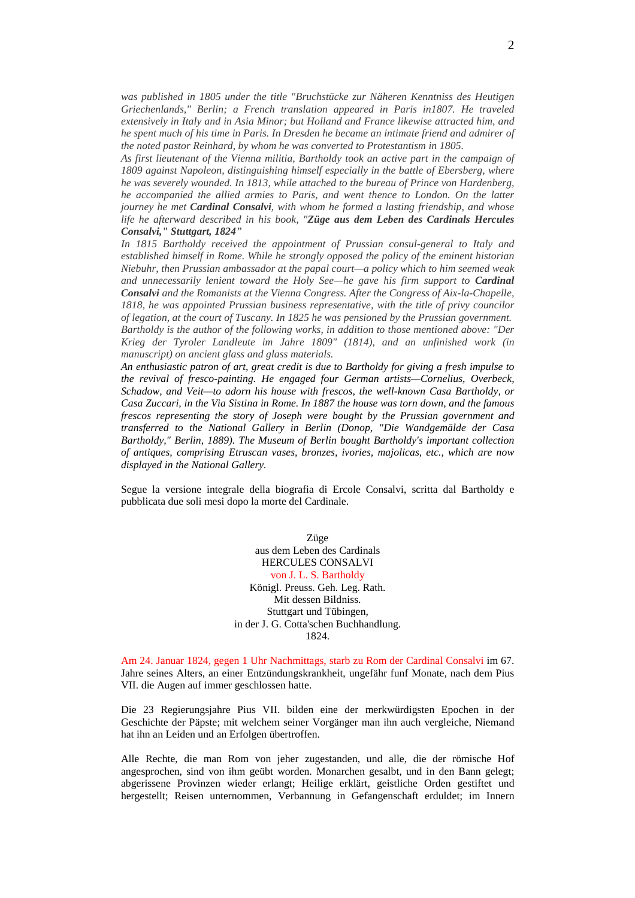*was published in 1805 under the title "Bruchstücke zur Näheren Kenntniss des Heutigen Griechenlands," Berlin; a French translation appeared in Paris in1807. He traveled extensively in Italy and in Asia Minor; but Holland and France likewise attracted him, and he spent much of his time in Paris. In Dresden he became an intimate friend and admirer of the noted pastor Reinhard, by whom he was converted to Protestantism in 1805.* 

*As first lieutenant of the Vienna militia, Bartholdy took an active part in the campaign of 1809 against Napoleon, distinguishing himself especially in the battle of Ebersberg, where he was severely wounded. In 1813, while attached to the bureau of Prince von Hardenberg, he accompanied the allied armies to Paris, and went thence to London. On the latter journey he met Cardinal Consalvi, with whom he formed a lasting friendship, and whose life he afterward described in his book, "Züge aus dem Leben des Cardinals Hercules Consalvi," Stuttgart, 1824"* 

*In 1815 Bartholdy received the appointment of Prussian consul-general to Italy and established himself in Rome. While he strongly opposed the policy of the eminent historian Niebuhr, then Prussian ambassador at the papal court—a policy which to him seemed weak and unnecessarily lenient toward the Holy See—he gave his firm support to Cardinal Consalvi and the Romanists at the Vienna Congress. After the Congress of Aix-la-Chapelle, 1818, he was appointed Prussian business representative, with the title of privy councilor of legation, at the court of Tuscany. In 1825 he was pensioned by the Prussian government. Bartholdy is the author of the following works, in addition to those mentioned above: "Der Krieg der Tyroler Landleute im Jahre 1809" (1814), and an unfinished work (in manuscript) on ancient glass and glass materials.* 

*An enthusiastic patron of art, great credit is due to Bartholdy for giving a fresh impulse to the revival of fresco-painting. He engaged four German artists—Cornelius, Overbeck, Schadow, and Veit—to adorn his house with frescos, the well-known Casa Bartholdy, or Casa Zuccari, in the Via Sistina in Rome. In 1887 the house was torn down, and the famous frescos representing the story of Joseph were bought by the Prussian government and transferred to the National Gallery in Berlin (Donop, "Die Wandgemälde der Casa Bartholdy," Berlin, 1889). The Museum of Berlin bought Bartholdy's important collection of antiques, comprising Etruscan vases, bronzes, ivories, majolicas, etc., which are now displayed in the National Gallery.* 

Segue la versione integrale della biografia di Ercole Consalvi, scritta dal Bartholdy e pubblicata due soli mesi dopo la morte del Cardinale.

> Züge aus dem Leben des Cardinals HERCULES CONSALVI von J. L. S. Bartholdy Königl. Preuss. Geh. Leg. Rath. Mit dessen Bildniss. Stuttgart und Tübingen, in der J. G. Cotta'schen Buchhandlung. 1824.

Am 24. Januar 1824, gegen 1 Uhr Nachmittags, starb zu Rom der Cardinal Consalvi im 67. Jahre seines Alters, an einer Entzündungskrankheit, ungefähr funf Monate, nach dem Pius VII. die Augen auf immer geschlossen hatte.

Die 23 Regierungsjahre Pius VII. bilden eine der merkwürdigsten Epochen in der Geschichte der Päpste; mit welchem seiner Vorgänger man ihn auch vergleiche, Niemand hat ihn an Leiden und an Erfolgen übertroffen.

Alle Rechte, die man Rom von jeher zugestanden, und alle, die der römische Hof angesprochen, sind von ihm geübt worden. Monarchen gesalbt, und in den Bann gelegt; abgerissene Provinzen wieder erlangt; Heilige erklärt, geistliche Orden gestiftet und hergestellt; Reisen unternommen, Verbannung in Gefangenschaft erduldet; im Innern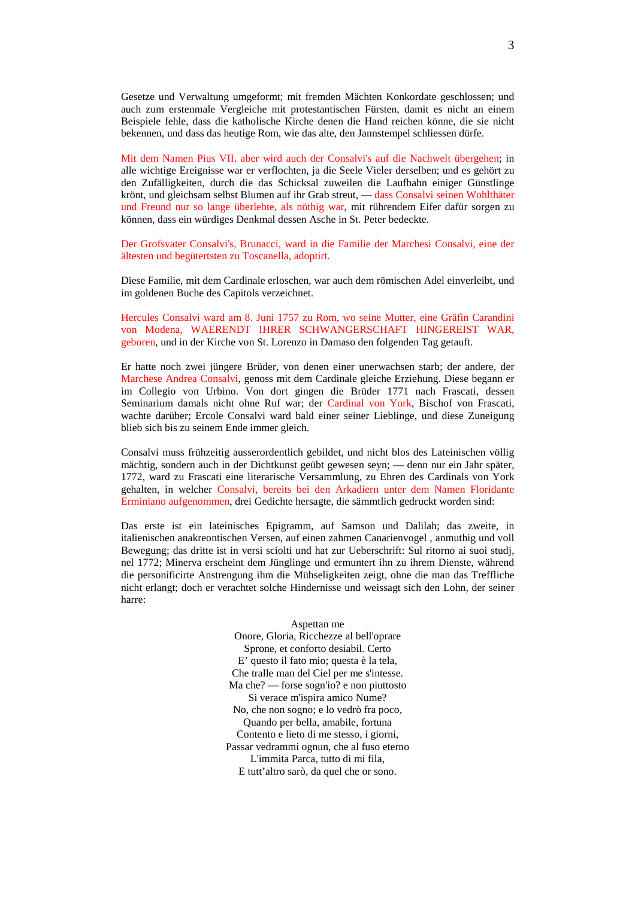Gesetze und Verwaltung umgeformt; mit fremden Mächten Konkordate geschlossen; und auch zum erstenmale Vergleiche mit protestantischen Fürsten, damit es nicht an einem Beispiele fehle, dass die katholische Kirche denen die Hand reichen könne, die sie nicht bekennen, und dass das heutige Rom, wie das alte, den Jannstempel schliessen dürfe.

Mit dem Namen Pius VII. aber wird auch der Consalvi's auf die Nachwelt übergehen; in alle wichtige Ereignisse war er verflochten, ja die Seele Vieler derselben; und es gehört zu den Zufälligkeiten, durch die das Schicksal zuweilen die Laufbahn einiger Günstlinge krönt, und gleichsam selbst Blumen auf ihr Grab streut, — dass Consalvi seinen Wohlthäter und Freund nur so lange überlebte, als nöthig war, mit rührendem Eifer dafür sorgen zu können, dass ein würdiges Denkmal dessen Asche in St. Peter bedeckte.

Der Grofsvater Consalvi's, Brunacci, ward in die Familie der Marchesi Consalvi, eine der ältesten und begütertsten zu Toscanella, adoptirt.

Diese Familie, mit dem Cardinale erloschen, war auch dem römischen Adel einverleibt, und im goldenen Buche des Capitols verzeichnet.

Hercules Consalvi ward am 8. Juni 1757 zu Rom, wo seine Mutter, eine Gräfin Carandini von Modena, WAERENDT IHRER SCHWANGERSCHAFT HINGEREIST WAR, geboren, und in der Kirche von St. Lorenzo in Damaso den folgenden Tag getauft.

Er hatte noch zwei jüngere Brüder, von denen einer unerwachsen starb; der andere, der Marchese Andrea Consalvi, genoss mit dem Cardinale gleiche Erziehung. Diese begann er im Collegio von Urbino. Von dort gingen die Brüder 1771 nach Frascati, dessen Seminarium damals nicht ohne Ruf war; der Cardinal von York, Bischof von Frascati, wachte darüber; Ercole Consalvi ward bald einer seiner Lieblinge, und diese Zuneigung blieb sich bis zu seinem Ende immer gleich.

Consalvi muss frühzeitig ausserordentlich gebildet, und nicht blos des Lateinischen völlig mächtig, sondern auch in der Dichtkunst geübt gewesen seyn; — denn nur ein Jahr später, 1772, ward zu Frascati eine literarische Versammlung, zu Ehren des Cardinals von York gehalten, in welcher Consalvi, bereits bei den Arkadiern unter dem Namen Floridante Erminiano aufgenommen, drei Gedichte hersagte, die sämmtlich gedruckt worden sind:

Das erste ist ein lateinisches Epigramm, auf Samson und Dalilah; das zweite, in italienischen anakreontischen Versen, auf einen zahmen Canarienvogel , anmuthig und voll Bewegung; das dritte ist in versi sciolti und hat zur Ueberschrift: Sul ritorno ai suoi studj, nel 1772; Minerva erscheint dem Jünglinge und ermuntert ihn zu ihrem Dienste, während die personificirte Anstrengung ihm die Mühseligkeiten zeigt, ohne die man das Treffliche nicht erlangt; doch er verachtet solche Hindernisse und weissagt sich den Lohn, der seiner harre:

> Aspettan me Onore, Gloria, Ricchezze al bell'oprare Sprone, et conforto desiabil. Certo E' questo il fato mio; questa è la tela, Che tralle man del Ciel per me s'intesse. Ma che? — forse sogn'io? e non piuttosto Si verace m'ispira amico Nume? No, che non sogno; e lo vedrò fra poco, Quando per bella, amabile, fortuna Contento e lieto di me stesso, i giorni, Passar vedrammi ognun, che al fuso eterno L'immita Parca, tutto di mi fila, E tutt'altro sarò, da quel che or sono.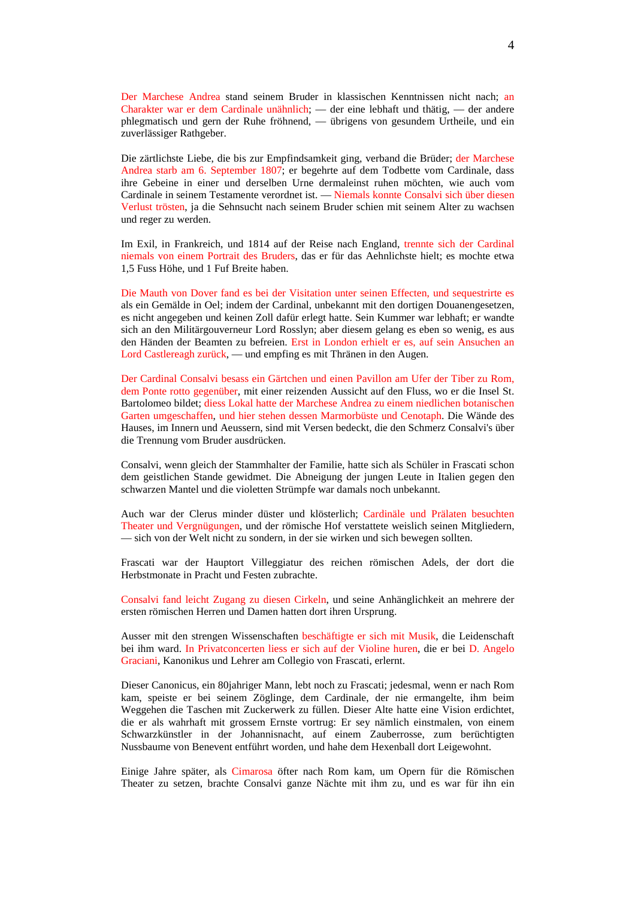Der Marchese Andrea stand seinem Bruder in klassischen Kenntnissen nicht nach; an Charakter war er dem Cardinale unähnlich; — der eine lebhaft und thätig, — der andere phlegmatisch und gern der Ruhe fröhnend, — übrigens von gesundem Urtheile, und ein zuverlässiger Rathgeber.

Die zärtlichste Liebe, die bis zur Empfindsamkeit ging, verband die Brüder; der Marchese Andrea starb am 6. September 1807; er begehrte auf dem Todbette vom Cardinale, dass ihre Gebeine in einer und derselben Urne dermaleinst ruhen möchten, wie auch vom Cardinale in seinem Testamente verordnet ist. — Niemals konnte Consalvi sich über diesen Verlust trösten, ja die Sehnsucht nach seinem Bruder schien mit seinem Alter zu wachsen und reger zu werden.

Im Exil, in Frankreich, und 1814 auf der Reise nach England, trennte sich der Cardinal niemals von einem Portrait des Bruders, das er für das Aehnlichste hielt; es mochte etwa 1,5 Fuss Höhe, und 1 Fuf Breite haben.

Die Mauth von Dover fand es bei der Visitation unter seinen Effecten, und sequestrirte es als ein Gemälde in Oel; indem der Cardinal, unbekannt mit den dortigen Douanengesetzen, es nicht angegeben und keinen Zoll dafür erlegt hatte. Sein Kummer war lebhaft; er wandte sich an den Militärgouverneur Lord Rosslyn; aber diesem gelang es eben so wenig, es aus den Händen der Beamten zu befreien. Erst in London erhielt er es, auf sein Ansuchen an Lord Castlereagh zurück, — und empfing es mit Thränen in den Augen.

Der Cardinal Consalvi besass ein Gärtchen und einen Pavillon am Ufer der Tiber zu Rom, dem Ponte rotto gegenüber, mit einer reizenden Aussicht auf den Fluss, wo er die Insel St. Bartolomeo bildet; diess Lokal hatte der Marchese Andrea zu einem niedlichen botanischen Garten umgeschaffen, und hier stehen dessen Marmorbüste und Cenotaph. Die Wände des Hauses, im Innern und Aeussern, sind mit Versen bedeckt, die den Schmerz Consalvi's über die Trennung vom Bruder ausdrücken.

Consalvi, wenn gleich der Stammhalter der Familie, hatte sich als Schüler in Frascati schon dem geistlichen Stande gewidmet. Die Abneigung der jungen Leute in Italien gegen den schwarzen Mantel und die violetten Strümpfe war damals noch unbekannt.

Auch war der Clerus minder düster und klösterlich; Cardinäle und Prälaten besuchten Theater und Vergnügungen, und der römische Hof verstattete weislich seinen Mitgliedern, — sich von der Welt nicht zu sondern, in der sie wirken und sich bewegen sollten.

Frascati war der Hauptort Villeggiatur des reichen römischen Adels, der dort die Herbstmonate in Pracht und Festen zubrachte.

Consalvi fand leicht Zugang zu diesen Cirkeln, und seine Anhänglichkeit an mehrere der ersten römischen Herren und Damen hatten dort ihren Ursprung.

Ausser mit den strengen Wissenschaften beschäftigte er sich mit Musik, die Leidenschaft bei ihm ward. In Privatconcerten liess er sich auf der Violine huren, die er bei D. Angelo Graciani, Kanonikus und Lehrer am Collegio von Frascati, erlernt.

Dieser Canonicus, ein 80jahriger Mann, lebt noch zu Frascati; jedesmal, wenn er nach Rom kam, speiste er bei seinem Zöglinge, dem Cardinale, der nie ermangelte, ihm beim Weggehen die Taschen mit Zuckerwerk zu füllen. Dieser Alte hatte eine Vision erdichtet, die er als wahrhaft mit grossem Ernste vortrug: Er sey nämlich einstmalen, von einem Schwarzkünstler in der Johannisnacht, auf einem Zauberrosse, zum berüchtigten Nussbaume von Benevent entführt worden, und hahe dem Hexenball dort Leigewohnt.

Einige Jahre später, als Cimarosa öfter nach Rom kam, um Opern für die Römischen Theater zu setzen, brachte Consalvi ganze Nächte mit ihm zu, und es war für ihn ein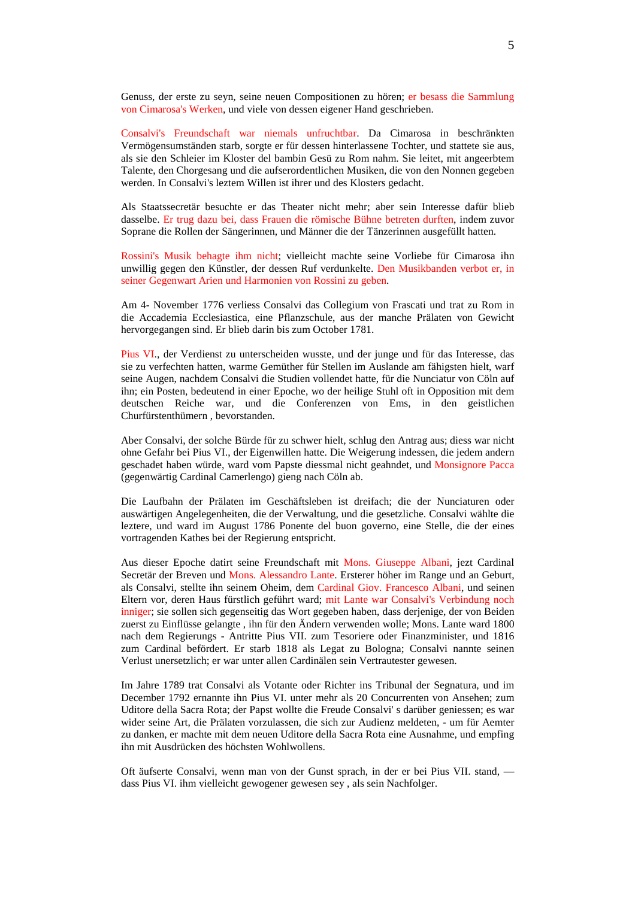Genuss, der erste zu seyn, seine neuen Compositionen zu hören; er besass die Sammlung von Cimarosa's Werken, und viele von dessen eigener Hand geschrieben.

Consalvi's Freundschaft war niemals unfruchtbar. Da Cimarosa in beschränkten Vermögensumständen starb, sorgte er für dessen hinterlassene Tochter, und stattete sie aus, als sie den Schleier im Kloster del bambin Gesü zu Rom nahm. Sie leitet, mit angeerbtem Talente, den Chorgesang und die aufserordentlichen Musiken, die von den Nonnen gegeben werden. In Consalvi's leztem Willen ist ihrer und des Klosters gedacht.

Als Staatssecretär besuchte er das Theater nicht mehr; aber sein Interesse dafür blieb dasselbe. Er trug dazu bei, dass Frauen die römische Bühne betreten durften, indem zuvor Soprane die Rollen der Sängerinnen, und Männer die der Tänzerinnen ausgefüllt hatten.

Rossini's Musik behagte ihm nicht; vielleicht machte seine Vorliebe für Cimarosa ihn unwillig gegen den Künstler, der dessen Ruf verdunkelte. Den Musikbanden verbot er, in seiner Gegenwart Arien und Harmonien von Rossini zu geben.

Am 4- November 1776 verliess Consalvi das Collegium von Frascati und trat zu Rom in die Accademia Ecclesiastica, eine Pflanzschule, aus der manche Prälaten von Gewicht hervorgegangen sind. Er blieb darin bis zum October 1781.

Pius VI., der Verdienst zu unterscheiden wusste, und der junge und für das Interesse, das sie zu verfechten hatten, warme Gemüther für Stellen im Auslande am fähigsten hielt, warf seine Augen, nachdem Consalvi die Studien vollendet hatte, für die Nunciatur von Cöln auf ihn; ein Posten, bedeutend in einer Epoche, wo der heilige Stuhl oft in Opposition mit dem deutschen Reiche war, und die Conferenzen von Ems, in den geistlichen Churfürstenthümern , bevorstanden.

Aber Consalvi, der solche Bürde für zu schwer hielt, schlug den Antrag aus; diess war nicht ohne Gefahr bei Pius VI., der Eigenwillen hatte. Die Weigerung indessen, die jedem andern geschadet haben würde, ward vom Papste diessmal nicht geahndet, und Monsignore Pacca (gegenwärtig Cardinal Camerlengo) gieng nach Cöln ab.

Die Laufbahn der Prälaten im Geschäftsleben ist dreifach; die der Nunciaturen oder auswärtigen Angelegenheiten, die der Verwaltung, und die gesetzliche. Consalvi wählte die leztere, und ward im August 1786 Ponente del buon governo, eine Stelle, die der eines vortragenden Kathes bei der Regierung entspricht.

Aus dieser Epoche datirt seine Freundschaft mit Mons. Giuseppe Albani, jezt Cardinal Secretär der Breven und Mons. Alessandro Lante. Ersterer höher im Range und an Geburt, als Consalvi, stellte ihn seinem Oheim, dem Cardinal Giov. Francesco Albani, und seinen Eltern vor, deren Haus fürstlich geführt ward; mit Lante war Consalvi's Verbindung noch inniger; sie sollen sich gegenseitig das Wort gegeben haben, dass derjenige, der von Beiden zuerst zu Einflüsse gelangte , ihn für den Ändern verwenden wolle; Mons. Lante ward 1800 nach dem Regierungs - Antritte Pius VII. zum Tesoriere oder Finanzminister, und 1816 zum Cardinal befördert. Er starb 1818 als Legat zu Bologna; Consalvi nannte seinen Verlust unersetzlich; er war unter allen Cardinälen sein Vertrautester gewesen.

Im Jahre 1789 trat Consalvi als Votante oder Richter ins Tribunal der Segnatura, und im December 1792 ernannte ihn Pius VI. unter mehr als 20 Concurrenten von Ansehen; zum Uditore della Sacra Rota; der Papst wollte die Freude Consalvi' s darüber geniessen; es war wider seine Art, die Prälaten vorzulassen, die sich zur Audienz meldeten, - um für Aemter zu danken, er machte mit dem neuen Uditore della Sacra Rota eine Ausnahme, und empfing ihn mit Ausdrücken des höchsten Wohlwollens.

Oft äufserte Consalvi, wenn man von der Gunst sprach, in der er bei Pius VII. stand, dass Pius VI. ihm vielleicht gewogener gewesen sey , als sein Nachfolger.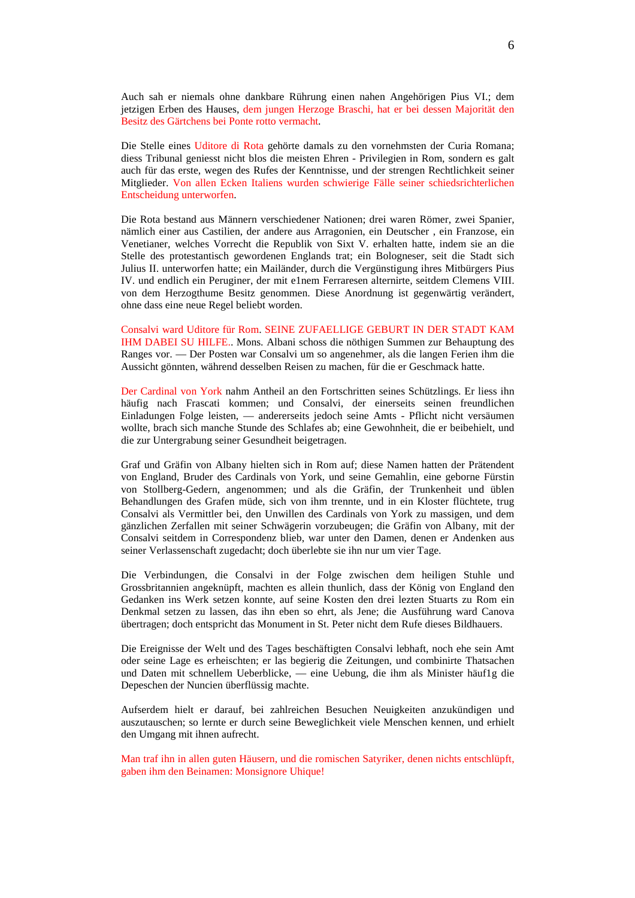Auch sah er niemals ohne dankbare Rührung einen nahen Angehörigen Pius VI.; dem jetzigen Erben des Hauses, dem jungen Herzoge Braschi, hat er bei dessen Majorität den Besitz des Gärtchens bei Ponte rotto vermacht.

Die Stelle eines Uditore di Rota gehörte damals zu den vornehmsten der Curia Romana; diess Tribunal geniesst nicht blos die meisten Ehren - Privilegien in Rom, sondern es galt auch für das erste, wegen des Rufes der Kenntnisse, und der strengen Rechtlichkeit seiner Mitglieder. Von allen Ecken Italiens wurden schwierige Fälle seiner schiedsrichterlichen Entscheidung unterworfen.

Die Rota bestand aus Männern verschiedener Nationen; drei waren Römer, zwei Spanier, nämlich einer aus Castilien, der andere aus Arragonien, ein Deutscher , ein Franzose, ein Venetianer, welches Vorrecht die Republik von Sixt V. erhalten hatte, indem sie an die Stelle des protestantisch gewordenen Englands trat; ein Bologneser, seit die Stadt sich Julius II. unterworfen hatte; ein Mailänder, durch die Vergünstigung ihres Mitbürgers Pius IV. und endlich ein Peruginer, der mit e1nem Ferraresen alternirte, seitdem Clemens VIII. von dem Herzogthume Besitz genommen. Diese Anordnung ist gegenwärtig verändert, ohne dass eine neue Regel beliebt worden.

Consalvi ward Uditore für Rom. SEINE ZUFAELLIGE GEBURT IN DER STADT KAM IHM DABEI SU HILFE.. Mons. Albani schoss die nöthigen Summen zur Behauptung des Ranges vor. — Der Posten war Consalvi um so angenehmer, als die langen Ferien ihm die Aussicht gönnten, während desselben Reisen zu machen, für die er Geschmack hatte.

Der Cardinal von York nahm Antheil an den Fortschritten seines Schützlings. Er liess ihn häufig nach Frascati kommen; und Consalvi, der einerseits seinen freundlichen Einladungen Folge leisten, — andererseits jedoch seine Amts - Pflicht nicht versäumen wollte, brach sich manche Stunde des Schlafes ab; eine Gewohnheit, die er beibehielt, und die zur Untergrabung seiner Gesundheit beigetragen.

Graf und Gräfin von Albany hielten sich in Rom auf; diese Namen hatten der Prätendent von England, Bruder des Cardinals von York, und seine Gemahlin, eine geborne Fürstin von Stollberg-Gedern, angenommen; und als die Gräfin, der Trunkenheit und üblen Behandlungen des Grafen müde, sich von ihm trennte, und in ein Kloster flüchtete, trug Consalvi als Vermittler bei, den Unwillen des Cardinals von York zu massigen, und dem gänzlichen Zerfallen mit seiner Schwägerin vorzubeugen; die Gräfin von Albany, mit der Consalvi seitdem in Correspondenz blieb, war unter den Damen, denen er Andenken aus seiner Verlassenschaft zugedacht; doch überlebte sie ihn nur um vier Tage.

Die Verbindungen, die Consalvi in der Folge zwischen dem heiligen Stuhle und Grossbritannien angeknüpft, machten es allein thunlich, dass der König von England den Gedanken ins Werk setzen konnte, auf seine Kosten den drei lezten Stuarts zu Rom ein Denkmal setzen zu lassen, das ihn eben so ehrt, als Jene; die Ausführung ward Canova übertragen; doch entspricht das Monument in St. Peter nicht dem Rufe dieses Bildhauers.

Die Ereignisse der Welt und des Tages beschäftigten Consalvi lebhaft, noch ehe sein Amt oder seine Lage es erheischten; er las begierig die Zeitungen, und combinirte Thatsachen und Daten mit schnellem Ueberblicke, — eine Uebung, die ihm als Minister häuf1g die Depeschen der Nuncien überflüssig machte.

Aufserdem hielt er darauf, bei zahlreichen Besuchen Neuigkeiten anzukündigen und auszutauschen; so lernte er durch seine Beweglichkeit viele Menschen kennen, und erhielt den Umgang mit ihnen aufrecht.

Man traf ihn in allen guten Häusern, und die romischen Satyriker, denen nichts entschlüpft, gaben ihm den Beinamen: Monsignore Uhique!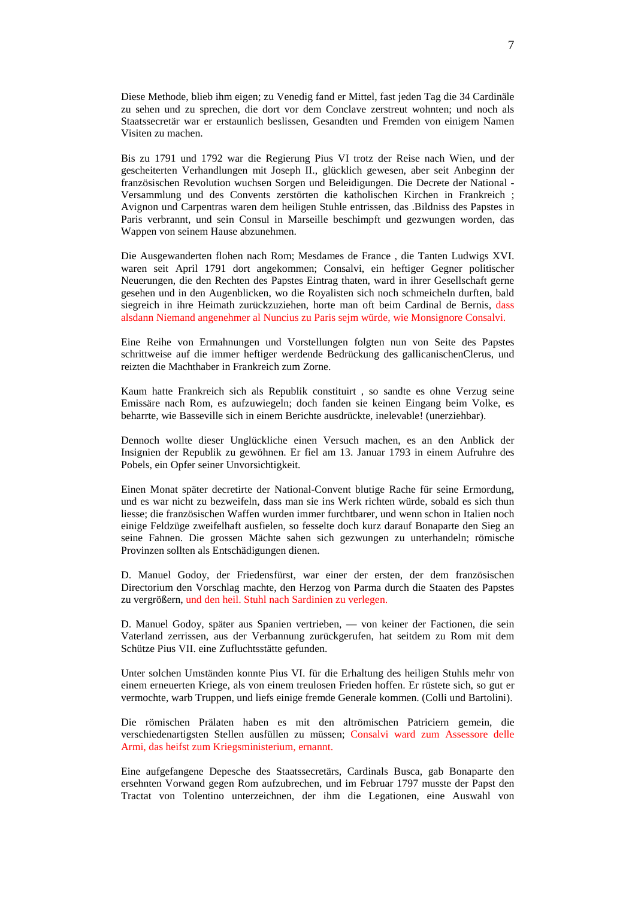Diese Methode, blieb ihm eigen; zu Venedig fand er Mittel, fast jeden Tag die 34 Cardinäle zu sehen und zu sprechen, die dort vor dem Conclave zerstreut wohnten; und noch als Staatssecretär war er erstaunlich beslissen, Gesandten und Fremden von einigem Namen Visiten zu machen.

Bis zu 1791 und 1792 war die Regierung Pius VI trotz der Reise nach Wien, und der gescheiterten Verhandlungen mit Joseph II., glücklich gewesen, aber seit Anbeginn der französischen Revolution wuchsen Sorgen und Beleidigungen. Die Decrete der National - Versammlung und des Convents zerstörten die katholischen Kirchen in Frankreich ; Avignon und Carpentras waren dem heiligen Stuhle entrissen, das .Bildniss des Papstes in Paris verbrannt, und sein Consul in Marseille beschimpft und gezwungen worden, das Wappen von seinem Hause abzunehmen.

Die Ausgewanderten flohen nach Rom; Mesdames de France , die Tanten Ludwigs XVI. waren seit April 1791 dort angekommen; Consalvi, ein heftiger Gegner politischer Neuerungen, die den Rechten des Papstes Eintrag thaten, ward in ihrer Gesellschaft gerne gesehen und in den Augenblicken, wo die Royalisten sich noch schmeicheln durften, bald siegreich in ihre Heimath zurückzuziehen, horte man oft beim Cardinal de Bernis, dass alsdann Niemand angenehmer al Nuncius zu Paris sejm würde, wie Monsignore Consalvi.

Eine Reihe von Ermahnungen und Vorstellungen folgten nun von Seite des Papstes schrittweise auf die immer heftiger werdende Bedrückung des gallicanischenClerus, und reizten die Machthaber in Frankreich zum Zorne.

Kaum hatte Frankreich sich als Republik constituirt , so sandte es ohne Verzug seine Emissäre nach Rom, es aufzuwiegeln; doch fanden sie keinen Eingang beim Volke, es beharrte, wie Basseville sich in einem Berichte ausdrückte, inelevable! (unerziehbar).

Dennoch wollte dieser Unglückliche einen Versuch machen, es an den Anblick der Insignien der Republik zu gewöhnen. Er fiel am 13. Januar 1793 in einem Aufruhre des Pobels, ein Opfer seiner Unvorsichtigkeit.

Einen Monat später decretirte der National-Convent blutige Rache für seine Ermordung, und es war nicht zu bezweifeln, dass man sie ins Werk richten würde, sobald es sich thun liesse; die französischen Waffen wurden immer furchtbarer, und wenn schon in Italien noch einige Feldzüge zweifelhaft ausfielen, so fesselte doch kurz darauf Bonaparte den Sieg an seine Fahnen. Die grossen Mächte sahen sich gezwungen zu unterhandeln; römische Provinzen sollten als Entschädigungen dienen.

D. Manuel Godoy, der Friedensfürst, war einer der ersten, der dem französischen Directorium den Vorschlag machte, den Herzog von Parma durch die Staaten des Papstes zu vergrößern, und den heil. Stuhl nach Sardinien zu verlegen.

D. Manuel Godoy, später aus Spanien vertrieben, — von keiner der Factionen, die sein Vaterland zerrissen, aus der Verbannung zurückgerufen, hat seitdem zu Rom mit dem Schütze Pius VII. eine Zufluchtsstätte gefunden.

Unter solchen Umständen konnte Pius VI. für die Erhaltung des heiligen Stuhls mehr von einem erneuerten Kriege, als von einem treulosen Frieden hoffen. Er rüstete sich, so gut er vermochte, warb Truppen, und liefs einige fremde Generale kommen. (Colli und Bartolini).

Die römischen Prälaten haben es mit den altrömischen Patriciern gemein, die verschiedenartigsten Stellen ausfüllen zu müssen; Consalvi ward zum Assessore delle Armi, das heifst zum Kriegsministerium, ernannt.

Eine aufgefangene Depesche des Staatssecretärs, Cardinals Busca, gab Bonaparte den ersehnten Vorwand gegen Rom aufzubrechen, und im Februar 1797 musste der Papst den Tractat von Tolentino unterzeichnen, der ihm die Legationen, eine Auswahl von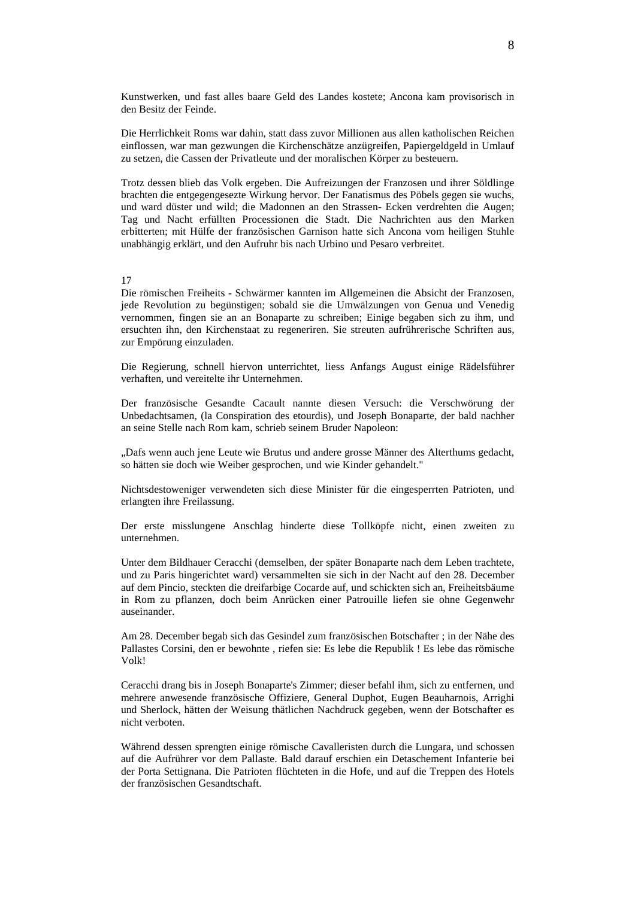Kunstwerken, und fast alles baare Geld des Landes kostete; Ancona kam provisorisch in den Besitz der Feinde.

Die Herrlichkeit Roms war dahin, statt dass zuvor Millionen aus allen katholischen Reichen einflossen, war man gezwungen die Kirchenschätze anzügreifen, Papiergeldgeld in Umlauf zu setzen, die Cassen der Privatleute und der moralischen Körper zu besteuern.

Trotz dessen blieb das Volk ergeben. Die Aufreizungen der Franzosen und ihrer Söldlinge brachten die entgegengesezte Wirkung hervor. Der Fanatismus des Pöbels gegen sie wuchs, und ward düster und wild; die Madonnen an den Strassen- Ecken verdrehten die Augen; Tag und Nacht erfüllten Processionen die Stadt. Die Nachrichten aus den Marken erbitterten; mit Hülfe der französischen Garnison hatte sich Ancona vom heiligen Stuhle unabhängig erklärt, und den Aufruhr bis nach Urbino und Pesaro verbreitet.

## 17

Die römischen Freiheits - Schwärmer kannten im Allgemeinen die Absicht der Franzosen, jede Revolution zu begünstigen; sobald sie die Umwälzungen von Genua und Venedig vernommen, fingen sie an an Bonaparte zu schreiben; Einige begaben sich zu ihm, und ersuchten ihn, den Kirchenstaat zu regeneriren. Sie streuten aufrührerische Schriften aus, zur Empörung einzuladen.

Die Regierung, schnell hiervon unterrichtet, liess Anfangs August einige Rädelsführer verhaften, und vereitelte ihr Unternehmen.

Der französische Gesandte Cacault nannte diesen Versuch: die Verschwörung der Unbedachtsamen, (la Conspiration des etourdis), und Joseph Bonaparte, der bald nachher an seine Stelle nach Rom kam, schrieb seinem Bruder Napoleon:

"Dafs wenn auch jene Leute wie Brutus und andere grosse Männer des Alterthums gedacht, so hätten sie doch wie Weiber gesprochen, und wie Kinder gehandelt."

Nichtsdestoweniger verwendeten sich diese Minister für die eingesperrten Patrioten, und erlangten ihre Freilassung.

Der erste misslungene Anschlag hinderte diese Tollköpfe nicht, einen zweiten zu unternehmen.

Unter dem Bildhauer Ceracchi (demselben, der später Bonaparte nach dem Leben trachtete, und zu Paris hingerichtet ward) versammelten sie sich in der Nacht auf den 28. December auf dem Pincio, steckten die dreifarbige Cocarde auf, und schickten sich an, Freiheitsbäume in Rom zu pflanzen, doch beim Anrücken einer Patrouille liefen sie ohne Gegenwehr auseinander.

Am 28. December begab sich das Gesindel zum französischen Botschafter ; in der Nähe des Pallastes Corsini, den er bewohnte , riefen sie: Es lebe die Republik ! Es lebe das römische Volk!

Ceracchi drang bis in Joseph Bonaparte's Zimmer; dieser befahl ihm, sich zu entfernen, und mehrere anwesende französische Offiziere, General Duphot, Eugen Beauharnois, Arrighi und Sherlock, hätten der Weisung thätlichen Nachdruck gegeben, wenn der Botschafter es nicht verboten.

Während dessen sprengten einige römische Cavalleristen durch die Lungara, und schossen auf die Aufrührer vor dem Pallaste. Bald darauf erschien ein Detaschement Infanterie bei der Porta Settignana. Die Patrioten flüchteten in die Hofe, und auf die Treppen des Hotels der französischen Gesandtschaft.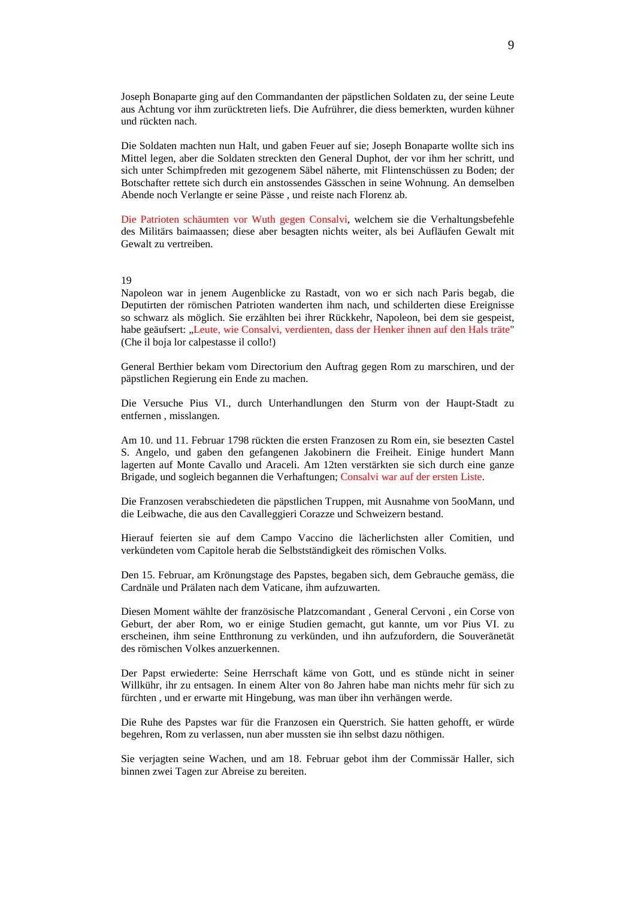Joseph Bonaparte ging auf den Commandanten der päpstlichen Soldaten zu, der seine Leute aus Achtung vor ihm zurücktreten liefs. Die Aufrührer, die diess bemerkten, wurden kühner und rückten nach.

Die Soldaten machten nun Halt, und gaben Feuer auf sie; Joseph Bonaparte wollte sich ins Mittel legen, aber die Soldaten streckten den General Duphot, der vor ihm her schritt, und sich unter Schimpfreden mit gezogenem Säbel näherte, mit Flintenschüssen zu Boden; der Botschafter rettete sich durch ein anstossendes Gässchen in seine Wohnung. An demselben Abende noch Verlangte er seine Pässe , und reiste nach Florenz ab.

Die Patrioten schäumten vor Wuth gegen Consalvi, welchem sie die Verhaltungsbefehle des Militärs baimaassen; diese aber besagten nichts weiter, als bei Aufläufen Gewalt mit Gewalt zu vertreiben.

# 19

Napoleon war in jenem Augenblicke zu Rastadt, von wo er sich nach Paris begab, die Deputirten der römischen Patrioten wanderten ihm nach, und schilderten diese Ereignisse so schwarz als möglich. Sie erzählten bei ihrer Rückkehr, Napoleon, bei dem sie gespeist, habe geäufsert: "Leute, wie Consalvi, verdienten, dass der Henker ihnen auf den Hals träte" (Che il boja lor calpestasse il collo!)

General Berthier bekam vom Directorium den Auftrag gegen Rom zu marschiren, und der päpstlichen Regierung ein Ende zu machen.

Die Versuche Pius VI., durch Unterhandlungen den Sturm von der Haupt-Stadt zu entfernen , misslangen.

Am 10. und 11. Februar 1798 rückten die ersten Franzosen zu Rom ein, sie besezten Castel S. Angelo, und gaben den gefangenen Jakobinern die Freiheit. Einige hundert Mann lagerten auf Monte Cavallo und Araceli. Am 12ten verstärkten sie sich durch eine ganze Brigade, und sogleich begannen die Verhaftungen; Consalvi war auf der ersten Liste.

Die Franzosen verabschiedeten die päpstlichen Truppen, mit Ausnahme von 5ooMann, und die Leibwache, die aus den Cavalleggieri Corazze und Schweizern bestand.

Hierauf feierten sie auf dem Campo Vaccino die lächerlichsten aller Comitien, und verkündeten vom Capitole herab die Selbstständigkeit des römischen Volks.

Den 15. Februar, am Krönungstage des Papstes, begaben sich, dem Gebrauche gemäss, die Cardnäle und Prälaten nach dem Vaticane, ihm aufzuwarten.

Diesen Moment wählte der französische Platzcomandant , General Cervoni , ein Corse von Geburt, der aber Rom, wo er einige Studien gemacht, gut kannte, um vor Pius VI. zu erscheinen, ihm seine Entthronung zu verkünden, und ihn aufzufordern, die Souveränetät des römischen Volkes anzuerkennen.

Der Papst erwiederte: Seine Herrschaft käme von Gott, und es stünde nicht in seiner Willkühr, ihr zu entsagen. In einem Alter von 8o Jahren habe man nichts mehr für sich zu fürchten , und er erwarte mit Hingebung, was man über ihn verhängen werde.

Die Ruhe des Papstes war für die Franzosen ein Querstrich. Sie hatten gehofft, er würde begehren, Rom zu verlassen, nun aber mussten sie ihn selbst dazu nöthigen.

Sie verjagten seine Wachen, und am 18. Februar gebot ihm der Commissär Haller, sich binnen zwei Tagen zur Abreise zu bereiten.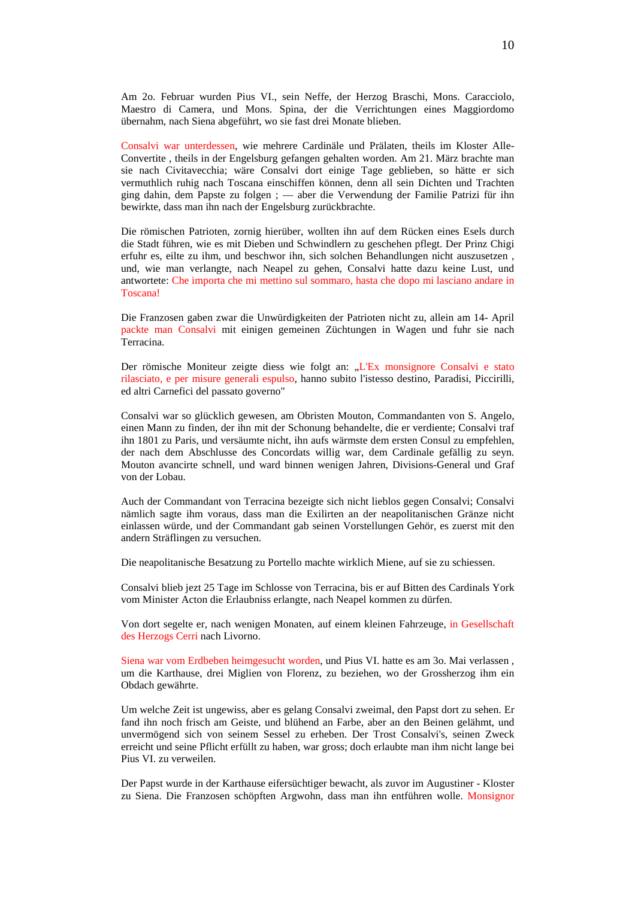Am 2o. Februar wurden Pius VI., sein Neffe, der Herzog Braschi, Mons. Caracciolo, Maestro di Camera, und Mons. Spina, der die Verrichtungen eines Maggiordomo übernahm, nach Siena abgeführt, wo sie fast drei Monate blieben.

Consalvi war unterdessen, wie mehrere Cardinäle und Prälaten, theils im Kloster Alle-Convertite , theils in der Engelsburg gefangen gehalten worden. Am 21. März brachte man sie nach Civitavecchia; wäre Consalvi dort einige Tage geblieben, so hätte er sich vermuthlich ruhig nach Toscana einschiffen können, denn all sein Dichten und Trachten ging dahin, dem Papste zu folgen ; — aber die Verwendung der Familie Patrizi für ihn bewirkte, dass man ihn nach der Engelsburg zurückbrachte.

Die römischen Patrioten, zornig hierüber, wollten ihn auf dem Rücken eines Esels durch die Stadt führen, wie es mit Dieben und Schwindlern zu geschehen pflegt. Der Prinz Chigi erfuhr es, eilte zu ihm, und beschwor ihn, sich solchen Behandlungen nicht auszusetzen , und, wie man verlangte, nach Neapel zu gehen, Consalvi hatte dazu keine Lust, und antwortete: Che importa che mi mettino sul sommaro, hasta che dopo mi lasciano andare in Toscana!

Die Franzosen gaben zwar die Unwürdigkeiten der Patrioten nicht zu, allein am 14- April packte man Consalvi mit einigen gemeinen Züchtungen in Wagen und fuhr sie nach Terracina.

Der römische Moniteur zeigte diess wie folgt an: "L'Ex monsignore Consalvi e stato rilasciato, e per misure generali espulso, hanno subito l'istesso destino, Paradisi, Piccirilli, ed altri Carnefici del passato governo"

Consalvi war so glücklich gewesen, am Obristen Mouton, Commandanten von S. Angelo, einen Mann zu finden, der ihn mit der Schonung behandelte, die er verdiente; Consalvi traf ihn 1801 zu Paris, und versäumte nicht, ihn aufs wärmste dem ersten Consul zu empfehlen, der nach dem Abschlusse des Concordats willig war, dem Cardinale gefällig zu seyn. Mouton avancirte schnell, und ward binnen wenigen Jahren, Divisions-General und Graf von der Lobau.

Auch der Commandant von Terracina bezeigte sich nicht lieblos gegen Consalvi; Consalvi nämlich sagte ihm voraus, dass man die Exilirten an der neapolitanischen Gränze nicht einlassen würde, und der Commandant gab seinen Vorstellungen Gehör, es zuerst mit den andern Sträflingen zu versuchen.

Die neapolitanische Besatzung zu Portello machte wirklich Miene, auf sie zu schiessen.

Consalvi blieb jezt 25 Tage im Schlosse von Terracina, bis er auf Bitten des Cardinals York vom Minister Acton die Erlaubniss erlangte, nach Neapel kommen zu dürfen.

Von dort segelte er, nach wenigen Monaten, auf einem kleinen Fahrzeuge, in Gesellschaft des Herzogs Cerri nach Livorno.

Siena war vom Erdbeben heimgesucht worden, und Pius VI. hatte es am 3o. Mai verlassen , um die Karthause, drei Miglien von Florenz, zu beziehen, wo der Grossherzog ihm ein Obdach gewährte.

Um welche Zeit ist ungewiss, aber es gelang Consalvi zweimal, den Papst dort zu sehen. Er fand ihn noch frisch am Geiste, und blühend an Farbe, aber an den Beinen gelähmt, und unvermögend sich von seinem Sessel zu erheben. Der Trost Consalvi's, seinen Zweck erreicht und seine Pflicht erfüllt zu haben, war gross; doch erlaubte man ihm nicht lange bei Pius VI. zu verweilen.

Der Papst wurde in der Karthause eifersüchtiger bewacht, als zuvor im Augustiner - Kloster zu Siena. Die Franzosen schöpften Argwohn, dass man ihn entführen wolle. Monsignor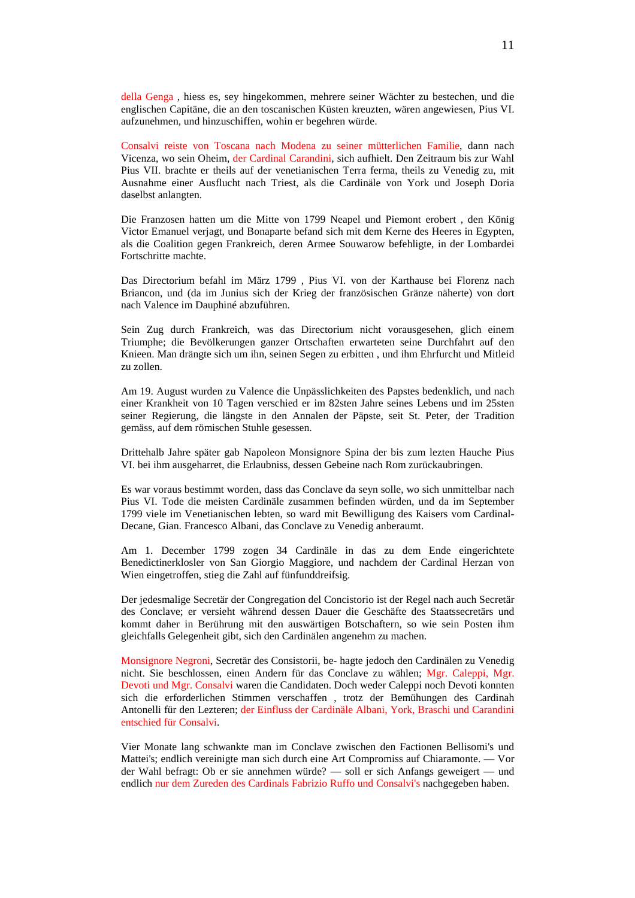della Genga , hiess es, sey hingekommen, mehrere seiner Wächter zu bestechen, und die englischen Capitäne, die an den toscanischen Küsten kreuzten, wären angewiesen, Pius VI. aufzunehmen, und hinzuschiffen, wohin er begehren würde.

Consalvi reiste von Toscana nach Modena zu seiner mütterlichen Familie, dann nach Vicenza, wo sein Oheim, der Cardinal Carandini, sich aufhielt. Den Zeitraum bis zur Wahl Pius VII. brachte er theils auf der venetianischen Terra ferma, theils zu Venedig zu, mit Ausnahme einer Ausflucht nach Triest, als die Cardinäle von York und Joseph Doria daselbst anlangten.

Die Franzosen hatten um die Mitte von 1799 Neapel und Piemont erobert , den König Victor Emanuel verjagt, und Bonaparte befand sich mit dem Kerne des Heeres in Egypten, als die Coalition gegen Frankreich, deren Armee Souwarow befehligte, in der Lombardei Fortschritte machte.

Das Directorium befahl im März 1799 , Pius VI. von der Karthause bei Florenz nach Briancon, und (da im Junius sich der Krieg der französischen Gränze näherte) von dort nach Valence im Dauphiné abzuführen.

Sein Zug durch Frankreich, was das Directorium nicht vorausgesehen, glich einem Triumphe; die Bevölkerungen ganzer Ortschaften erwarteten seine Durchfahrt auf den Knieen. Man drängte sich um ihn, seinen Segen zu erbitten , und ihm Ehrfurcht und Mitleid zu zollen.

Am 19. August wurden zu Valence die Unpässlichkeiten des Papstes bedenklich, und nach einer Krankheit von 10 Tagen verschied er im 82sten Jahre seines Lebens und im 25sten seiner Regierung, die längste in den Annalen der Päpste, seit St. Peter, der Tradition gemäss, auf dem römischen Stuhle gesessen.

Drittehalb Jahre später gab Napoleon Monsignore Spina der bis zum lezten Hauche Pius VI. bei ihm ausgeharret, die Erlaubniss, dessen Gebeine nach Rom zurückaubringen.

Es war voraus bestimmt worden, dass das Conclave da seyn solle, wo sich unmittelbar nach Pius VI. Tode die meisten Cardinäle zusammen befinden würden, und da im September 1799 viele im Venetianischen lebten, so ward mit Bewilligung des Kaisers vom Cardinal-Decane, Gian. Francesco Albani, das Conclave zu Venedig anberaumt.

Am 1. December 1799 zogen 34 Cardinäle in das zu dem Ende eingerichtete Benedictinerklosler von San Giorgio Maggiore, und nachdem der Cardinal Herzan von Wien eingetroffen, stieg die Zahl auf fünfunddreifsig.

Der jedesmalige Secretär der Congregation del Concistorio ist der Regel nach auch Secretär des Conclave; er versieht während dessen Dauer die Geschäfte des Staatssecretärs und kommt daher in Berührung mit den auswärtigen Botschaftern, so wie sein Posten ihm gleichfalls Gelegenheit gibt, sich den Cardinälen angenehm zu machen.

Monsignore Negroni, Secretär des Consistorii, be- hagte jedoch den Cardinälen zu Venedig nicht. Sie beschlossen, einen Andern für das Conclave zu wählen; Mgr. Caleppi, Mgr. Devoti und Mgr. Consalvi waren die Candidaten. Doch weder Caleppi noch Devoti konnten sich die erforderlichen Stimmen verschaffen , trotz der Bemühungen des Cardinah Antonelli für den Lezteren; der Einfluss der Cardinäle Albani, York, Braschi und Carandini entschied für Consalvi.

Vier Monate lang schwankte man im Conclave zwischen den Factionen Bellisomi's und Mattei's; endlich vereinigte man sich durch eine Art Compromiss auf Chiaramonte. — Vor der Wahl befragt: Ob er sie annehmen würde? — soll er sich Anfangs geweigert — und endlich nur dem Zureden des Cardinals Fabrizio Ruffo und Consalvi's nachgegeben haben.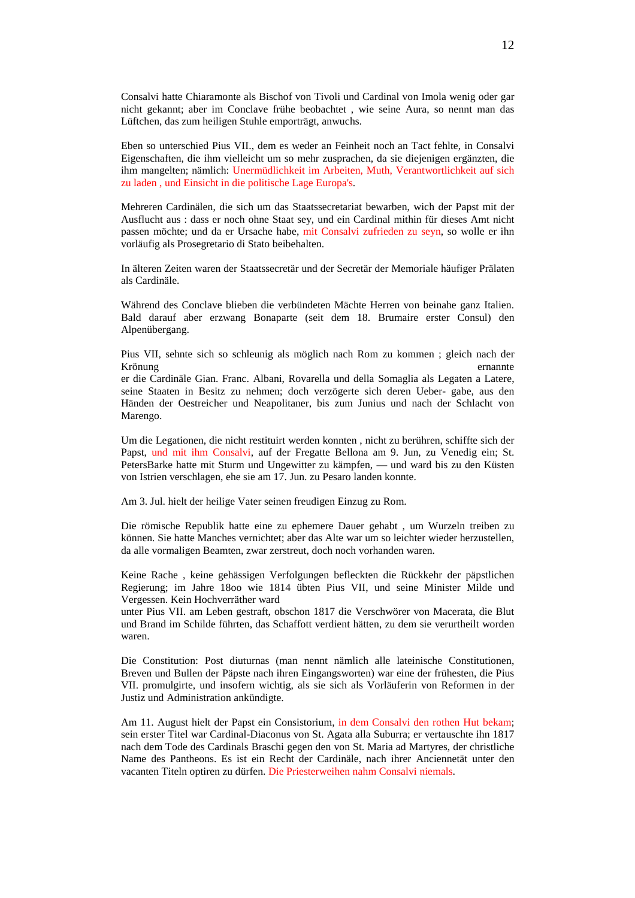Consalvi hatte Chiaramonte als Bischof von Tivoli und Cardinal von Imola wenig oder gar nicht gekannt; aber im Conclave frühe beobachtet , wie seine Aura, so nennt man das Lüftchen, das zum heiligen Stuhle emporträgt, anwuchs.

Eben so unterschied Pius VII., dem es weder an Feinheit noch an Tact fehlte, in Consalvi Eigenschaften, die ihm vielleicht um so mehr zusprachen, da sie diejenigen ergänzten, die ihm mangelten; nämlich: Unermüdlichkeit im Arbeiten, Muth, Verantwortlichkeit auf sich zu laden , und Einsicht in die politische Lage Europa's.

Mehreren Cardinälen, die sich um das Staatssecretariat bewarben, wich der Papst mit der Ausflucht aus : dass er noch ohne Staat sey, und ein Cardinal mithin für dieses Amt nicht passen möchte; und da er Ursache habe, mit Consalvi zufrieden zu seyn, so wolle er ihn vorläufig als Prosegretario di Stato beibehalten.

In älteren Zeiten waren der Staatssecretär und der Secretär der Memoriale häufiger Prälaten als Cardinäle.

Während des Conclave blieben die verbündeten Mächte Herren von beinahe ganz Italien. Bald darauf aber erzwang Bonaparte (seit dem 18. Brumaire erster Consul) den Alpenübergang.

Pius VII, sehnte sich so schleunig als möglich nach Rom zu kommen ; gleich nach der Krönung ernannte besteht i den ernannte besteht i den ernannte besteht i den ernannte besteht i den ernannte b

er die Cardinäle Gian. Franc. Albani, Rovarella und della Somaglia als Legaten a Latere, seine Staaten in Besitz zu nehmen; doch verzögerte sich deren Ueber- gabe, aus den Händen der Oestreicher und Neapolitaner, bis zum Junius und nach der Schlacht von Marengo.

Um die Legationen, die nicht restituirt werden konnten , nicht zu berühren, schiffte sich der Papst, und mit ihm Consalvi, auf der Fregatte Bellona am 9. Jun, zu Venedig ein; St. PetersBarke hatte mit Sturm und Ungewitter zu kämpfen, — und ward bis zu den Küsten von Istrien verschlagen, ehe sie am 17. Jun. zu Pesaro landen konnte.

Am 3. Jul. hielt der heilige Vater seinen freudigen Einzug zu Rom.

Die römische Republik hatte eine zu ephemere Dauer gehabt , um Wurzeln treiben zu können. Sie hatte Manches vernichtet; aber das Alte war um so leichter wieder herzustellen, da alle vormaligen Beamten, zwar zerstreut, doch noch vorhanden waren.

Keine Rache , keine gehässigen Verfolgungen befleckten die Rückkehr der päpstlichen Regierung; im Jahre 18oo wie 1814 übten Pius VII, und seine Minister Milde und Vergessen. Kein Hochverräther ward

unter Pius VII. am Leben gestraft, obschon 1817 die Verschwörer von Macerata, die Blut und Brand im Schilde führten, das Schaffott verdient hätten, zu dem sie verurtheilt worden waren.

Die Constitution: Post diuturnas (man nennt nämlich alle lateinische Constitutionen, Breven und Bullen der Päpste nach ihren Eingangsworten) war eine der frühesten, die Pius VII. promulgirte, und insofern wichtig, als sie sich als Vorläuferin von Reformen in der Justiz und Administration ankündigte.

Am 11. August hielt der Papst ein Consistorium, in dem Consalvi den rothen Hut bekam; sein erster Titel war Cardinal-Diaconus von St. Agata alla Suburra; er vertauschte ihn 1817 nach dem Tode des Cardinals Braschi gegen den von St. Maria ad Martyres, der christliche Name des Pantheons. Es ist ein Recht der Cardinäle, nach ihrer Anciennetät unter den vacanten Titeln optiren zu dürfen. Die Priesterweihen nahm Consalvi niemals.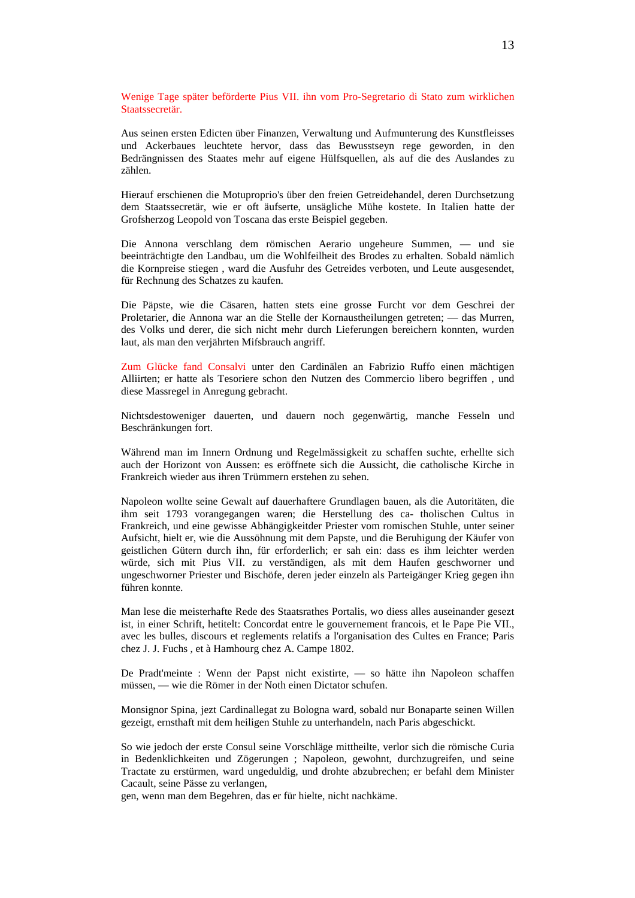Wenige Tage später beförderte Pius VII. ihn vom Pro-Segretario di Stato zum wirklichen Staatssecretär.

Aus seinen ersten Edicten über Finanzen, Verwaltung und Aufmunterung des Kunstfleisses und Ackerbaues leuchtete hervor, dass das Bewusstseyn rege geworden, in den Bedrängnissen des Staates mehr auf eigene Hülfsquellen, als auf die des Auslandes zu zählen.

Hierauf erschienen die Motuproprio's über den freien Getreidehandel, deren Durchsetzung dem Staatssecretär, wie er oft äufserte, unsägliche Mühe kostete. In Italien hatte der Grofsherzog Leopold von Toscana das erste Beispiel gegeben.

Die Annona verschlang dem römischen Aerario ungeheure Summen, — und sie beeinträchtigte den Landbau, um die Wohlfeilheit des Brodes zu erhalten. Sobald nämlich die Kornpreise stiegen , ward die Ausfuhr des Getreides verboten, und Leute ausgesendet, für Rechnung des Schatzes zu kaufen.

Die Päpste, wie die Cäsaren, hatten stets eine grosse Furcht vor dem Geschrei der Proletarier, die Annona war an die Stelle der Kornaustheilungen getreten; — das Murren, des Volks und derer, die sich nicht mehr durch Lieferungen bereichern konnten, wurden laut, als man den verjährten Mifsbrauch angriff.

Zum Glücke fand Consalvi unter den Cardinälen an Fabrizio Ruffo einen mächtigen Alliirten; er hatte als Tesoriere schon den Nutzen des Commercio libero begriffen , und diese Massregel in Anregung gebracht.

Nichtsdestoweniger dauerten, und dauern noch gegenwärtig, manche Fesseln und Beschränkungen fort.

Während man im Innern Ordnung und Regelmässigkeit zu schaffen suchte, erhellte sich auch der Horizont von Aussen: es eröffnete sich die Aussicht, die catholische Kirche in Frankreich wieder aus ihren Trümmern erstehen zu sehen.

Napoleon wollte seine Gewalt auf dauerhaftere Grundlagen bauen, als die Autoritäten, die ihm seit 1793 vorangegangen waren; die Herstellung des ca- tholischen Cultus in Frankreich, und eine gewisse Abhängigkeitder Priester vom romischen Stuhle, unter seiner Aufsicht, hielt er, wie die Aussöhnung mit dem Papste, und die Beruhigung der Käufer von geistlichen Gütern durch ihn, für erforderlich; er sah ein: dass es ihm leichter werden würde, sich mit Pius VII. zu verständigen, als mit dem Haufen geschworner und ungeschworner Priester und Bischöfe, deren jeder einzeln als Parteigänger Krieg gegen ihn führen konnte.

Man lese die meisterhafte Rede des Staatsrathes Portalis, wo diess alles auseinander gesezt ist, in einer Schrift, hetitelt: Concordat entre le gouvernement francois, et le Pape Pie VII., avec les bulles, discours et reglements relatifs a l'organisation des Cultes en France; Paris chez J. J. Fuchs , et à Hamhourg chez A. Campe 1802.

De Pradt'meinte : Wenn der Papst nicht existirte, — so hätte ihn Napoleon schaffen müssen, — wie die Römer in der Noth einen Dictator schufen.

Monsignor Spina, jezt Cardinallegat zu Bologna ward, sobald nur Bonaparte seinen Willen gezeigt, ernsthaft mit dem heiligen Stuhle zu unterhandeln, nach Paris abgeschickt.

So wie jedoch der erste Consul seine Vorschläge mittheilte, verlor sich die römische Curia in Bedenklichkeiten und Zögerungen ; Napoleon, gewohnt, durchzugreifen, und seine Tractate zu erstürmen, ward ungeduldig, und drohte abzubrechen; er befahl dem Minister Cacault, seine Pässe zu verlangen,

gen, wenn man dem Begehren, das er für hielte, nicht nachkäme.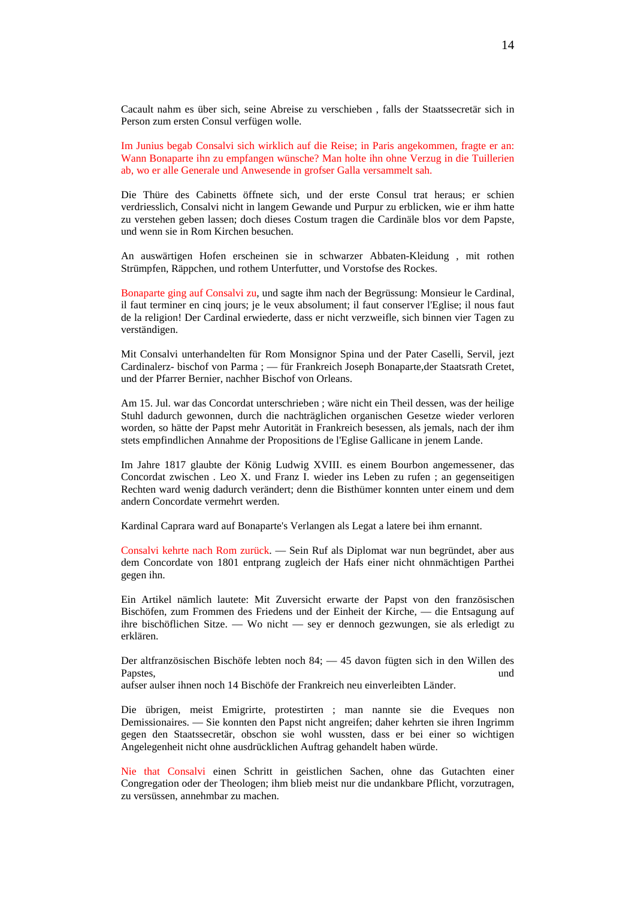Cacault nahm es über sich, seine Abreise zu verschieben , falls der Staatssecretär sich in Person zum ersten Consul verfügen wolle.

Im Junius begab Consalvi sich wirklich auf die Reise; in Paris angekommen, fragte er an: Wann Bonaparte ihn zu empfangen wünsche? Man holte ihn ohne Verzug in die Tuillerien ab, wo er alle Generale und Anwesende in grofser Galla versammelt sah.

Die Thüre des Cabinetts öffnete sich, und der erste Consul trat heraus; er schien verdriesslich, Consalvi nicht in langem Gewande und Purpur zu erblicken, wie er ihm hatte zu verstehen geben lassen; doch dieses Costum tragen die Cardinäle blos vor dem Papste, und wenn sie in Rom Kirchen besuchen.

An auswärtigen Hofen erscheinen sie in schwarzer Abbaten-Kleidung , mit rothen Strümpfen, Räppchen, und rothem Unterfutter, und Vorstofse des Rockes.

Bonaparte ging auf Consalvi zu, und sagte ihm nach der Begrüssung: Monsieur le Cardinal, il faut terminer en cinq jours; je le veux absolument; il faut conserver l'Eglise; il nous faut de la religion! Der Cardinal erwiederte, dass er nicht verzweifle, sich binnen vier Tagen zu verständigen.

Mit Consalvi unterhandelten für Rom Monsignor Spina und der Pater Caselli, Servil, jezt Cardinalerz- bischof von Parma ; — für Frankreich Joseph Bonaparte,der Staatsrath Cretet, und der Pfarrer Bernier, nachher Bischof von Orleans.

Am 15. Jul. war das Concordat unterschrieben ; wäre nicht ein Theil dessen, was der heilige Stuhl dadurch gewonnen, durch die nachträglichen organischen Gesetze wieder verloren worden, so hätte der Papst mehr Autorität in Frankreich besessen, als jemals, nach der ihm stets empfindlichen Annahme der Propositions de l'Eglise Gallicane in jenem Lande.

Im Jahre 1817 glaubte der König Ludwig XVIII. es einem Bourbon angemessener, das Concordat zwischen . Leo X. und Franz I. wieder ins Leben zu rufen ; an gegenseitigen Rechten ward wenig dadurch verändert; denn die Bisthümer konnten unter einem und dem andern Concordate vermehrt werden.

Kardinal Caprara ward auf Bonaparte's Verlangen als Legat a latere bei ihm ernannt.

Consalvi kehrte nach Rom zurück. — Sein Ruf als Diplomat war nun begründet, aber aus dem Concordate von 1801 entprang zugleich der Hafs einer nicht ohnmächtigen Parthei gegen ihn.

Ein Artikel nämlich lautete: Mit Zuversicht erwarte der Papst von den französischen Bischöfen, zum Frommen des Friedens und der Einheit der Kirche, — die Entsagung auf ihre bischöflichen Sitze. — Wo nicht — sey er dennoch gezwungen, sie als erledigt zu erklären.

Der altfranzösischen Bischöfe lebten noch 84; — 45 davon fügten sich in den Willen des Papstes, und and the contract of the contract of the contract of the contract of the contract of the contract of the contract of the contract of the contract of the contract of the contract of the contract of the contract

aufser aulser ihnen noch 14 Bischöfe der Frankreich neu einverleibten Länder.

Die übrigen, meist Emigrirte, protestirten ; man nannte sie die Eveques non Demissionaires. — Sie konnten den Papst nicht angreifen; daher kehrten sie ihren Ingrimm gegen den Staatssecretär, obschon sie wohl wussten, dass er bei einer so wichtigen Angelegenheit nicht ohne ausdrücklichen Auftrag gehandelt haben würde.

Nie that Consalvi einen Schritt in geistlichen Sachen, ohne das Gutachten einer Congregation oder der Theologen; ihm blieb meist nur die undankbare Pflicht, vorzutragen, zu versüssen, annehmbar zu machen.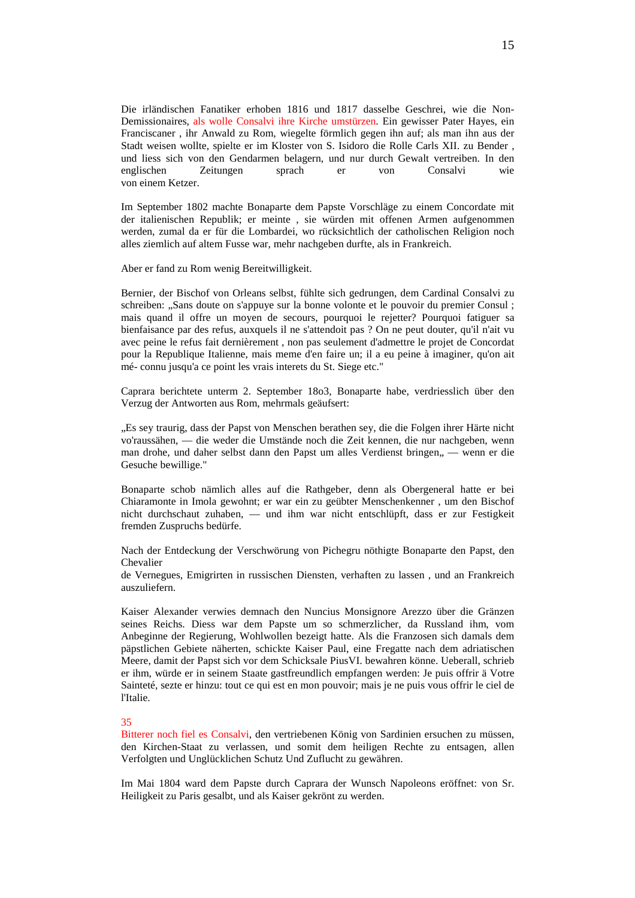Die irländischen Fanatiker erhoben 1816 und 1817 dasselbe Geschrei, wie die Non-Demissionaires, als wolle Consalvi ihre Kirche umstürzen. Ein gewisser Pater Hayes, ein Franciscaner , ihr Anwald zu Rom, wiegelte förmlich gegen ihn auf; als man ihn aus der Stadt weisen wollte, spielte er im Kloster von S. Isidoro die Rolle Carls XII. zu Bender , und liess sich von den Gendarmen belagern, und nur durch Gewalt vertreiben. In den englischen Zeitungen sprach er von Consalvi wie von einem Ketzer.

Im September 1802 machte Bonaparte dem Papste Vorschläge zu einem Concordate mit der italienischen Republik; er meinte , sie würden mit offenen Armen aufgenommen werden, zumal da er für die Lombardei, wo rücksichtlich der catholischen Religion noch alles ziemlich auf altem Fusse war, mehr nachgeben durfte, als in Frankreich.

Aber er fand zu Rom wenig Bereitwilligkeit.

Bernier, der Bischof von Orleans selbst, fühlte sich gedrungen, dem Cardinal Consalvi zu schreiben: "Sans doute on s'appuye sur la bonne volonte et le pouvoir du premier Consul ; mais quand il offre un moyen de secours, pourquoi le rejetter? Pourquoi fatiguer sa bienfaisance par des refus, auxquels il ne s'attendoit pas ? On ne peut douter, qu'il n'ait vu avec peine le refus fait dernièrement , non pas seulement d'admettre le projet de Concordat pour la Republique Italienne, mais meme d'en faire un; il a eu peine à imaginer, qu'on ait mé- connu jusqu'a ce point les vrais interets du St. Siege etc."

Caprara berichtete unterm 2. September 18o3, Bonaparte habe, verdriesslich über den Verzug der Antworten aus Rom, mehrmals geäufsert:

"Es sey traurig, dass der Papst von Menschen berathen sey, die die Folgen ihrer Härte nicht vo'raussähen, — die weder die Umstände noch die Zeit kennen, die nur nachgeben, wenn man drohe, und daher selbst dann den Papst um alles Verdienst bringen, — wenn er die Gesuche bewillige."

Bonaparte schob nämlich alles auf die Rathgeber, denn als Obergeneral hatte er bei Chiaramonte in Imola gewohnt; er war ein zu geübter Menschenkenner , um den Bischof nicht durchschaut zuhaben, — und ihm war nicht entschlüpft, dass er zur Festigkeit fremden Zuspruchs bedürfe.

Nach der Entdeckung der Verschwörung von Pichegru nöthigte Bonaparte den Papst, den Chevalier

de Vernegues, Emigrirten in russischen Diensten, verhaften zu lassen , und an Frankreich auszuliefern.

Kaiser Alexander verwies demnach den Nuncius Monsignore Arezzo über die Gränzen seines Reichs. Diess war dem Papste um so schmerzlicher, da Russland ihm, vom Anbeginne der Regierung, Wohlwollen bezeigt hatte. Als die Franzosen sich damals dem päpstlichen Gebiete näherten, schickte Kaiser Paul, eine Fregatte nach dem adriatischen Meere, damit der Papst sich vor dem Schicksale PiusVI. bewahren könne. Ueberall, schrieb er ihm, würde er in seinem Staate gastfreundlich empfangen werden: Je puis offrir ä Votre Sainteté, sezte er hinzu: tout ce qui est en mon pouvoir; mais je ne puis vous offrir le ciel de l'Italie.

#### 35

Bitterer noch fiel es Consalvi, den vertriebenen König von Sardinien ersuchen zu müssen, den Kirchen-Staat zu verlassen, und somit dem heiligen Rechte zu entsagen, allen Verfolgten und Unglücklichen Schutz Und Zuflucht zu gewähren.

Im Mai 1804 ward dem Papste durch Caprara der Wunsch Napoleons eröffnet: von Sr. Heiligkeit zu Paris gesalbt, und als Kaiser gekrönt zu werden.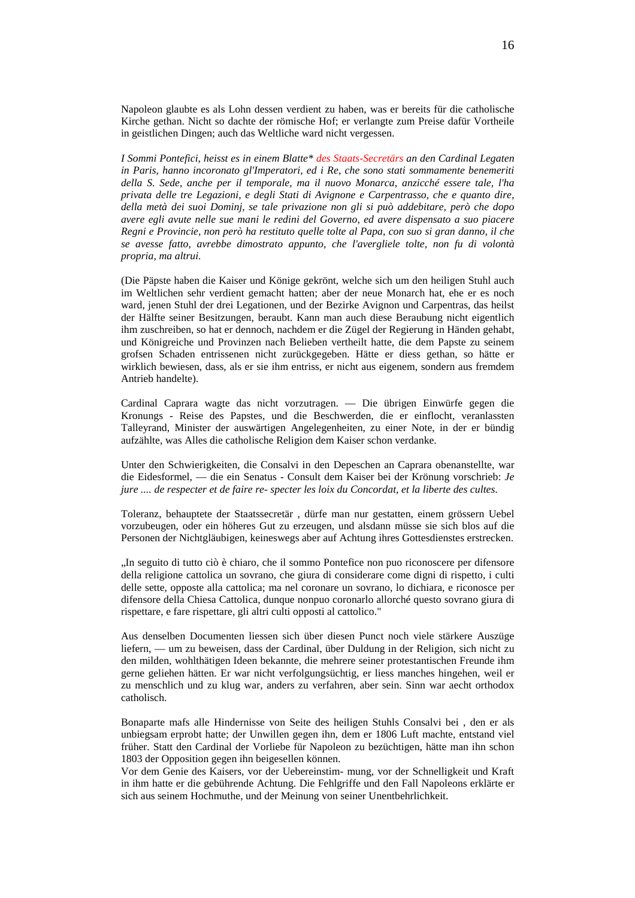Napoleon glaubte es als Lohn dessen verdient zu haben, was er bereits für die catholische Kirche gethan. Nicht so dachte der römische Hof; er verlangte zum Preise dafür Vortheile in geistlichen Dingen; auch das Weltliche ward nicht vergessen.

*I Sommi Pontefici, heisst es in einem Blatte\* des Staats-Secretärs an den Cardinal Legaten in Paris, hanno incoronato gl'Imperatori, ed i Re, che sono stati sommamente benemeriti della S. Sede, anche per il temporale, ma il nuovo Monarca, anzicché essere tale, l'ha privata delle tre Legazioni, e degli Stati di Avignone e Carpentrasso, che e quanto dire, della metà dei suoi Dominj, se tale privazione non gli si può addebitare, però che dopo avere egli avute nelle sue mani le redini del Governo, ed avere dispensato a suo piacere Regni e Provincie, non però ha restituto quelle tolte al Papa, con suo si gran danno, il che se avesse fatto, avrebbe dimostrato appunto, che l'avergliele tolte, non fu di volontà propria, ma altrui.* 

(Die Päpste haben die Kaiser und Könige gekrönt, welche sich um den heiligen Stuhl auch im Weltlichen sehr verdient gemacht hatten; aber der neue Monarch hat, ehe er es noch ward, jenen Stuhl der drei Legationen, und der Bezirke Avignon und Carpentras, das heilst der Hälfte seiner Besitzungen, beraubt. Kann man auch diese Beraubung nicht eigentlich ihm zuschreiben, so hat er dennoch, nachdem er die Zügel der Regierung in Händen gehabt, und Königreiche und Provinzen nach Belieben vertheilt hatte, die dem Papste zu seinem grofsen Schaden entrissenen nicht zurückgegeben. Hätte er diess gethan, so hätte er wirklich bewiesen, dass, als er sie ihm entriss, er nicht aus eigenem, sondern aus fremdem Antrieb handelte).

Cardinal Caprara wagte das nicht vorzutragen. — Die übrigen Einwürfe gegen die Kronungs - Reise des Papstes, und die Beschwerden, die er einflocht, veranlassten Talleyrand, Minister der auswärtigen Angelegenheiten, zu einer Note, in der er bündig aufzählte, was Alles die catholische Religion dem Kaiser schon verdanke.

Unter den Schwierigkeiten, die Consalvi in den Depeschen an Caprara obenanstellte, war die Eidesformel, — die ein Senatus - Consult dem Kaiser bei der Krönung vorschrieb: *Je jure .... de respecter et de faire re- specter les loix du Concordat, et la liberte des cultes*.

Toleranz, behauptete der Staatssecretär , dürfe man nur gestatten, einem grössern Uebel vorzubeugen, oder ein höheres Gut zu erzeugen, und alsdann müsse sie sich blos auf die Personen der Nichtgläubigen, keineswegs aber auf Achtung ihres Gottesdienstes erstrecken.

"In seguito di tutto ciò è chiaro, che il sommo Pontefice non puo riconoscere per difensore della religione cattolica un sovrano, che giura di considerare come digni di rispetto, i culti delle sette, opposte alla cattolica; ma nel coronare un sovrano, lo dichiara, e riconosce per difensore della Chiesa Cattolica, dunque nonpuo coronarlo allorché questo sovrano giura di rispettare, e fare rispettare, gli altri culti opposti al cattolico."

Aus denselben Documenten liessen sich über diesen Punct noch viele stärkere Auszüge liefern, — um zu beweisen, dass der Cardinal, über Duldung in der Religion, sich nicht zu den milden, wohlthätigen Ideen bekannte, die mehrere seiner protestantischen Freunde ihm gerne geliehen hätten. Er war nicht verfolgungsüchtig, er liess manches hingehen, weil er zu menschlich und zu klug war, anders zu verfahren, aber sein. Sinn war aecht orthodox catholisch.

Bonaparte mafs alle Hindernisse von Seite des heiligen Stuhls Consalvi bei , den er als unbiegsam erprobt hatte; der Unwillen gegen ihn, dem er 1806 Luft machte, entstand viel früher. Statt den Cardinal der Vorliebe für Napoleon zu bezüchtigen, hätte man ihn schon 1803 der Opposition gegen ihn beigesellen können.

Vor dem Genie des Kaisers, vor der Uebereinstim- mung, vor der Schnelligkeit und Kraft in ihm hatte er die gebührende Achtung. Die Fehlgriffe und den Fall Napoleons erklärte er sich aus seinem Hochmuthe, und der Meinung von seiner Unentbehrlichkeit.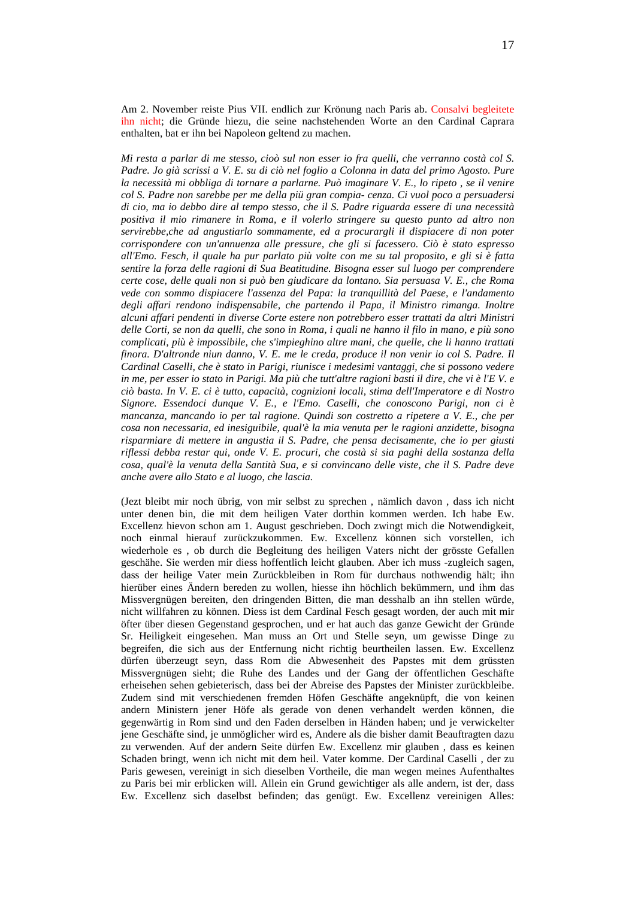Am 2. November reiste Pius VII. endlich zur Krönung nach Paris ab. Consalvi begleitete ihn nicht; die Gründe hiezu, die seine nachstehenden Worte an den Cardinal Caprara enthalten, bat er ihn bei Napoleon geltend zu machen.

*Mi resta a parlar di me stesso, cioò sul non esser io fra quelli, che verranno costà col S. Padre. Jo già scrissi a V. E. su di ciò nel foglio a Colonna in data del primo Agosto. Pure la necessità mi obbliga di tornare a parlarne. Può imaginare V. E., lo ripeto , se il venire col S. Padre non sarebbe per me della piü gran compia- cenza. Ci vuol poco a persuadersi di cio, ma io debbo dire al tempo stesso, che il S. Padre riguarda essere di una necessità positiva il mio rimanere in Roma, e il volerlo stringere su questo punto ad altro non servirebbe,che ad angustiarlo sommamente, ed a procurargli il dispiacere di non poter corrispondere con un'annuenza alle pressure, che gli si facessero. Ciò è stato espresso all'Emo. Fesch, il quale ha pur parlato più volte con me su tal proposito, e gli si è fatta sentire la forza delle ragioni di Sua Beatitudine. Bisogna esser sul luogo per comprendere certe cose, delle quali non si può ben giudicare da lontano. Sia persuasa V. E., che Roma vede con sommo dispiacere l'assenza del Papa: la tranquillità del Paese, e l'andamento degli affari rendono indispensabile, che partendo il Papa, il Ministro rimanga. Inoltre alcuni affari pendenti in diverse Corte estere non potrebbero esser trattati da altri Ministri delle Corti, se non da quelli, che sono in Roma, i quali ne hanno il filo in mano, e più sono complicati, più è impossibile, che s'impieghino altre mani, che quelle, che li hanno trattati finora. D'altronde niun danno, V. E. me le creda, produce il non venir io col S. Padre. Il Cardinal Caselli, che è stato in Parigi, riunisce i medesimi vantaggi, che si possono vedere in me, per esser io stato in Parigi. Ma più che tutt'altre ragioni basti il dire, che vi è l'E V. e ciò basta. In V. E. ci è tutto, capacità, cognizioni locali, stima dell'Imperatore e di Nostro Signore. Essendoci dunque V. E., e l'Emo. Caselli, che conoscono Parigi, non ci è mancanza, mancando io per tal ragione. Quindi son costretto a ripetere a V. E., che per cosa non necessaria, ed inesiguibile, qual'è la mia venuta per le ragioni anzidette, bisogna risparmiare di mettere in angustia il S. Padre, che pensa decisamente, che io per giusti riflessi debba restar qui, onde V. E. procuri, che costà si sia paghi della sostanza della cosa, qual'è la venuta della Santità Sua, e si convincano delle viste, che il S. Padre deve anche avere allo Stato e al luogo, che lascia.* 

(Jezt bleibt mir noch übrig, von mir selbst zu sprechen , nämlich davon , dass ich nicht unter denen bin, die mit dem heiligen Vater dorthin kommen werden. Ich habe Ew. Excellenz hievon schon am 1. August geschrieben. Doch zwingt mich die Notwendigkeit, noch einmal hierauf zurückzukommen. Ew. Excellenz können sich vorstellen, ich wiederhole es , ob durch die Begleitung des heiligen Vaters nicht der grösste Gefallen geschähe. Sie werden mir diess hoffentlich leicht glauben. Aber ich muss -zugleich sagen, dass der heilige Vater mein Zurückbleiben in Rom für durchaus nothwendig hält; ihn hierüber eines Ändern bereden zu wollen, hiesse ihn höchlich bekümmern, und ihm das Missvergnügen bereiten, den dringenden Bitten, die man desshalb an ihn stellen würde, nicht willfahren zu können. Diess ist dem Cardinal Fesch gesagt worden, der auch mit mir öfter über diesen Gegenstand gesprochen, und er hat auch das ganze Gewicht der Gründe Sr. Heiligkeit eingesehen. Man muss an Ort und Stelle seyn, um gewisse Dinge zu begreifen, die sich aus der Entfernung nicht richtig beurtheilen lassen. Ew. Excellenz dürfen überzeugt seyn, dass Rom die Abwesenheit des Papstes mit dem grüssten Missvergnügen sieht; die Ruhe des Landes und der Gang der öffentlichen Geschäfte erheisehen sehen gebieterisch, dass bei der Abreise des Papstes der Minister zurückbleibe. Zudem sind mit verschiedenen fremden Höfen Geschäfte angeknüpft, die von keinen andern Ministern jener Höfe als gerade von denen verhandelt werden können, die gegenwärtig in Rom sind und den Faden derselben in Händen haben; und je verwickelter jene Geschäfte sind, je unmöglicher wird es, Andere als die bisher damit Beauftragten dazu zu verwenden. Auf der andern Seite dürfen Ew. Excellenz mir glauben , dass es keinen Schaden bringt, wenn ich nicht mit dem heil. Vater komme. Der Cardinal Caselli , der zu Paris gewesen, vereinigt in sich dieselben Vortheile, die man wegen meines Aufenthaltes zu Paris bei mir erblicken will. Allein ein Grund gewichtiger als alle andern, ist der, dass Ew. Excellenz sich daselbst befinden; das genügt. Ew. Excellenz vereinigen Alles: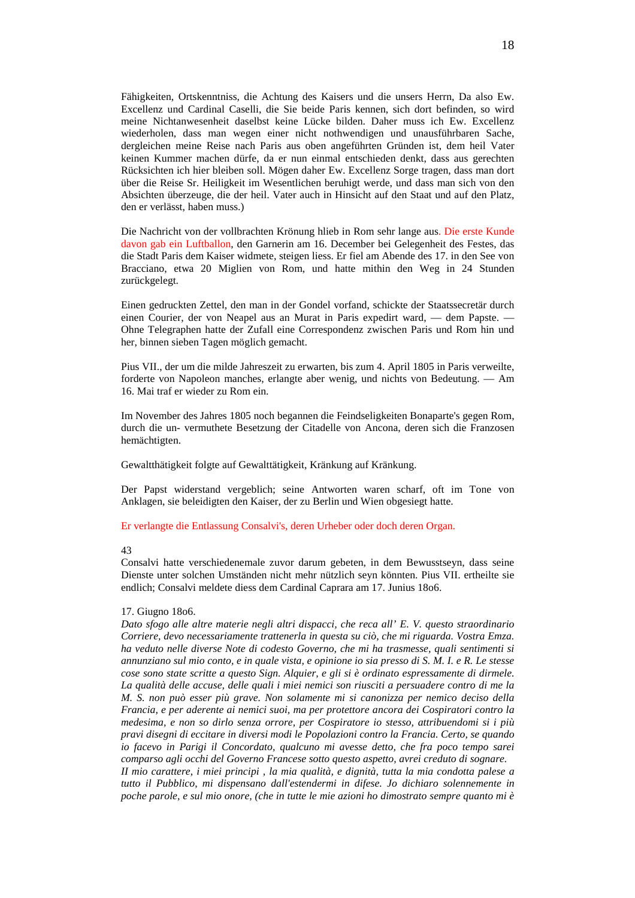Fähigkeiten, Ortskenntniss, die Achtung des Kaisers und die unsers Herrn, Da also Ew. Excellenz und Cardinal Caselli, die Sie beide Paris kennen, sich dort befinden, so wird meine Nichtanwesenheit daselbst keine Lücke bilden. Daher muss ich Ew. Excellenz wiederholen, dass man wegen einer nicht nothwendigen und unausführbaren Sache, dergleichen meine Reise nach Paris aus oben angeführten Gründen ist, dem heil Vater keinen Kummer machen dürfe, da er nun einmal entschieden denkt, dass aus gerechten Rücksichten ich hier bleiben soll. Mögen daher Ew. Excellenz Sorge tragen, dass man dort über die Reise Sr. Heiligkeit im Wesentlichen beruhigt werde, und dass man sich von den Absichten überzeuge, die der heil. Vater auch in Hinsicht auf den Staat und auf den Platz, den er verlässt, haben muss.)

Die Nachricht von der vollbrachten Krönung hlieb in Rom sehr lange aus. Die erste Kunde davon gab ein Luftballon, den Garnerin am 16. December bei Gelegenheit des Festes, das die Stadt Paris dem Kaiser widmete, steigen liess. Er fiel am Abende des 17. in den See von Bracciano, etwa 20 Miglien von Rom, und hatte mithin den Weg in 24 Stunden zurückgelegt.

Einen gedruckten Zettel, den man in der Gondel vorfand, schickte der Staatssecretär durch einen Courier, der von Neapel aus an Murat in Paris expedirt ward, — dem Papste. — Ohne Telegraphen hatte der Zufall eine Correspondenz zwischen Paris und Rom hin und her, binnen sieben Tagen möglich gemacht.

Pius VII., der um die milde Jahreszeit zu erwarten, bis zum 4. April 1805 in Paris verweilte, forderte von Napoleon manches, erlangte aber wenig, und nichts von Bedeutung. — Am 16. Mai traf er wieder zu Rom ein.

Im November des Jahres 1805 noch begannen die Feindseligkeiten Bonaparte's gegen Rom, durch die un- vermuthete Besetzung der Citadelle von Ancona, deren sich die Franzosen hemächtigten.

Gewaltthätigkeit folgte auf Gewalttätigkeit, Kränkung auf Kränkung.

Der Papst widerstand vergeblich; seine Antworten waren scharf, oft im Tone von Anklagen, sie beleidigten den Kaiser, der zu Berlin und Wien obgesiegt hatte.

Er verlangte die Entlassung Consalvi's, deren Urheber oder doch deren Organ.

#### 43

Consalvi hatte verschiedenemale zuvor darum gebeten, in dem Bewusstseyn, dass seine Dienste unter solchen Umständen nicht mehr nützlich seyn könnten. Pius VII. ertheilte sie endlich; Consalvi meldete diess dem Cardinal Caprara am 17. Junius 18o6.

## 17. Giugno 18o6.

*Dato sfogo alle altre materie negli altri dispacci, che reca all' E. V. questo straordinario Corriere, devo necessariamente trattenerla in questa su ciò, che mi riguarda. Vostra Emza. ha veduto nelle diverse Note di codesto Governo, che mi ha trasmesse, quali sentimenti si annunziano sul mio conto, e in quale vista, e opinione io sia presso di S. M. I. e R. Le stesse cose sono state scritte a questo Sign. Alquier, e gli si è ordinato espressamente di dirmele. La qualità delle accuse, delle quali i miei nemici son riusciti a persuadere contro di me la M. S. non può esser più grave. Non solamente mi si canonizza per nemico deciso della Francia, e per aderente ai nemici suoi, ma per protettore ancora dei Cospiratori contro la medesima, e non so dirlo senza orrore, per Cospiratore io stesso, attribuendomi si i più pravi disegni di eccitare in diversi modi le Popolazioni contro la Francia. Certo, se quando io facevo in Parigi il Concordato, qualcuno mi avesse detto, che fra poco tempo sarei comparso agli occhi del Governo Francese sotto questo aspetto, avrei creduto di sognare. II mio carattere, i miei principi , la mia qualità, e dignità, tutta la mia condotta palese a tutto il Pubblico, mi dispensano dall'estendermi in difese. Jo dichiaro solennemente in poche parole, e sul mio onore, (che in tutte le mie azioni ho dimostrato sempre quanto mi è*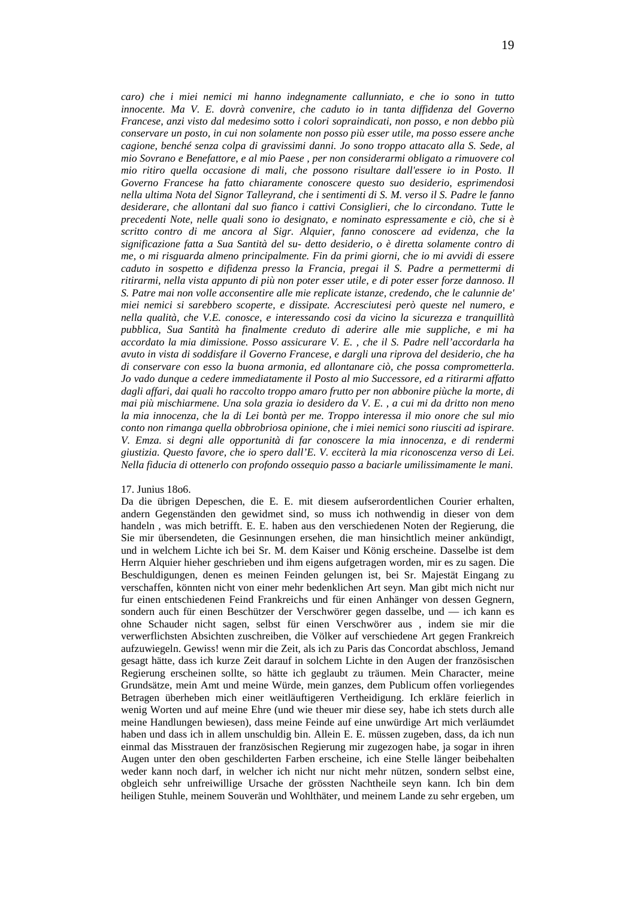*caro) che i miei nemici mi hanno indegnamente callunniato, e che io sono in tutto innocente. Ma V. E. dovrà convenire, che caduto io in tanta diffidenza del Governo Francese, anzi visto dal medesimo sotto i colori sopraindicati, non posso, e non debbo più conservare un posto, in cui non solamente non posso più esser utile, ma posso essere anche cagione, benché senza colpa di gravissimi danni. Jo sono troppo attacato alla S. Sede, al mio Sovrano e Benefattore, e al mio Paese , per non considerarmi obligato a rimuovere col mio ritiro quella occasione di mali, che possono risultare dall'essere io in Posto. Il Governo Francese ha fatto chiaramente conoscere questo suo desiderio, esprimendosi nella ultima Nota del Signor Talleyrand, che i sentimenti di S. M. verso il S. Padre le fanno desiderare, che allontani dal suo fianco i cattivi Consiglieri, che lo circondano. Tutte le precedenti Note, nelle quali sono io designato, e nominato espressamente e ciò, che si è scritto contro di me ancora al Sigr. Alquier, fanno conoscere ad evidenza, che la significazione fatta a Sua Santità del su- detto desiderio, o è diretta solamente contro di me, o mi risguarda almeno principalmente. Fin da primi giorni, che io mi avvidi di essere caduto in sospetto e difidenza presso la Francia, pregai il S. Padre a permettermi di ritirarmi, nella vista appunto di più non poter esser utile, e di poter esser forze dannoso. Il S. Patre mai non volle acconsentire alle mie replicate istanze, credendo, che le calunnie de' miei nemici si sarebbero scoperte, e dissipate. Accresciutesi però queste nel numero, e nella qualità, che V.E. conosce, e interessando cosi da vicino la sicurezza e tranquillità pubblica, Sua Santità ha finalmente creduto di aderire alle mie suppliche, e mi ha accordato la mia dimissione. Posso assicurare V. E. , che il S. Padre nell'accordarla ha avuto in vista di soddisfare il Governo Francese, e dargli una riprova del desiderio, che ha di conservare con esso la buona armonia, ed allontanare ciò, che possa comprometterla. Jo vado dunque a cedere immediatamente il Posto al mio Successore, ed a ritirarmi affatto dagli affari, dai quali ho raccolto troppo amaro frutto per non abbonire piùche la morte, di mai più mischiarmene. Una sola grazia io desidero da V. E. , a cui mi da dritto non meno la mia innocenza, che la di Lei bontà per me. Troppo interessa il mio onore che sul mio* 

*conto non rimanga quella obbrobriosa opinione, che i miei nemici sono riusciti ad ispirare. V. Emza. si degni alle opportunità di far conoscere la mia innocenza, e di rendermi giustizia. Questo favore, che io spero dall'E. V. ecciterà la mia riconoscenza verso di Lei. Nella fiducia di ottenerlo con profondo ossequio passo a baciarle umilissimamente le mani.* 

## 17. Junius 18o6.

Da die übrigen Depeschen, die E. E. mit diesem aufserordentlichen Courier erhalten, andern Gegenständen den gewidmet sind, so muss ich nothwendig in dieser von dem handeln , was mich betrifft. E. E. haben aus den verschiedenen Noten der Regierung, die Sie mir übersendeten, die Gesinnungen ersehen, die man hinsichtlich meiner ankündigt, und in welchem Lichte ich bei Sr. M. dem Kaiser und König erscheine. Dasselbe ist dem Herrn Alquier hieher geschrieben und ihm eigens aufgetragen worden, mir es zu sagen. Die Beschuldigungen, denen es meinen Feinden gelungen ist, bei Sr. Majestät Eingang zu verschaffen, könnten nicht von einer mehr bedenklichen Art seyn. Man gibt mich nicht nur fur einen entschiedenen Feind Frankreichs und für einen Anhänger von dessen Gegnern, sondern auch für einen Beschützer der Verschwörer gegen dasselbe, und — ich kann es ohne Schauder nicht sagen, selbst für einen Verschwörer aus , indem sie mir die verwerflichsten Absichten zuschreiben, die Völker auf verschiedene Art gegen Frankreich aufzuwiegeln. Gewiss! wenn mir die Zeit, als ich zu Paris das Concordat abschloss, Jemand gesagt hätte, dass ich kurze Zeit darauf in solchem Lichte in den Augen der französischen Regierung erscheinen sollte, so hätte ich geglaubt zu träumen. Mein Character, meine Grundsätze, mein Amt und meine Würde, mein ganzes, dem Publicum offen vorliegendes Betragen überheben mich einer weitläuftigeren Vertheidigung. Ich erkläre feierlich in wenig Worten und auf meine Ehre (und wie theuer mir diese sey, habe ich stets durch alle meine Handlungen bewiesen), dass meine Feinde auf eine unwürdige Art mich verläumdet haben und dass ich in allem unschuldig bin. Allein E. E. müssen zugeben, dass, da ich nun einmal das Misstrauen der französischen Regierung mir zugezogen habe, ja sogar in ihren Augen unter den oben geschilderten Farben erscheine, ich eine Stelle länger beibehalten weder kann noch darf, in welcher ich nicht nur nicht mehr nützen, sondern selbst eine, obgleich sehr unfreiwillige Ursache der grössten Nachtheile seyn kann. Ich bin dem heiligen Stuhle, meinem Souverän und Wohlthäter, und meinem Lande zu sehr ergeben, um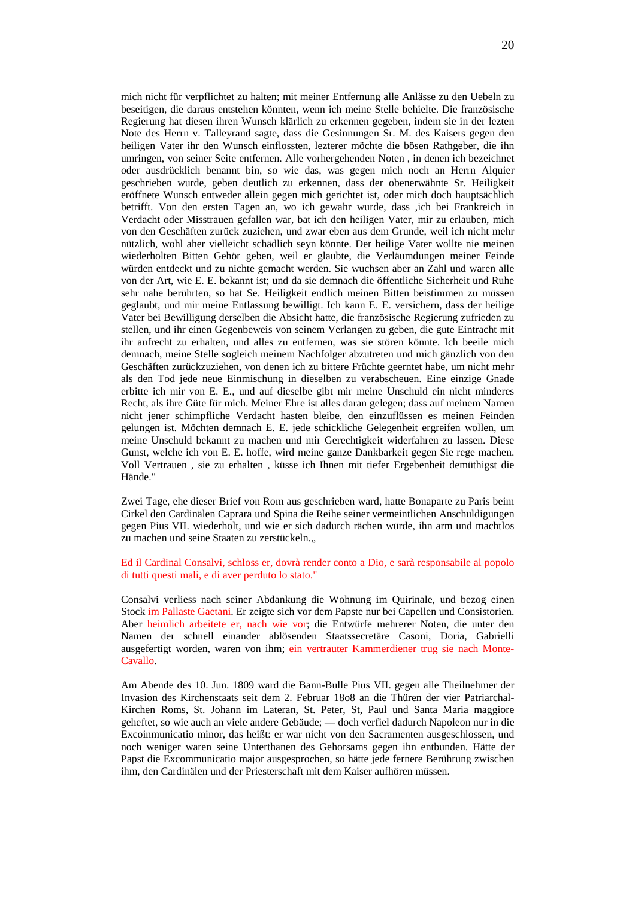mich nicht für verpflichtet zu halten; mit meiner Entfernung alle Anlässe zu den Uebeln zu beseitigen, die daraus entstehen könnten, wenn ich meine Stelle behielte. Die französische Regierung hat diesen ihren Wunsch klärlich zu erkennen gegeben, indem sie in der lezten Note des Herrn v. Talleyrand sagte, dass die Gesinnungen Sr. M. des Kaisers gegen den heiligen Vater ihr den Wunsch einflossten, lezterer möchte die bösen Rathgeber, die ihn umringen, von seiner Seite entfernen. Alle vorhergehenden Noten , in denen ich bezeichnet oder ausdrücklich benannt bin, so wie das, was gegen mich noch an Herrn Alquier geschrieben wurde, geben deutlich zu erkennen, dass der obenerwähnte Sr. Heiligkeit eröffnete Wunsch entweder allein gegen mich gerichtet ist, oder mich doch hauptsächlich betrifft. Von den ersten Tagen an, wo ich gewahr wurde, dass ,ich bei Frankreich in Verdacht oder Misstrauen gefallen war, bat ich den heiligen Vater, mir zu erlauben, mich von den Geschäften zurück zuziehen, und zwar eben aus dem Grunde, weil ich nicht mehr nützlich, wohl aher vielleicht schädlich seyn könnte. Der heilige Vater wollte nie meinen wiederholten Bitten Gehör geben, weil er glaubte, die Verläumdungen meiner Feinde würden entdeckt und zu nichte gemacht werden. Sie wuchsen aber an Zahl und waren alle von der Art, wie E. E. bekannt ist; und da sie demnach die öffentliche Sicherheit und Ruhe sehr nahe berührten, so hat Se. Heiligkeit endlich meinen Bitten beistimmen zu müssen geglaubt, und mir meine Entlassung bewilligt. Ich kann E. E. versichern, dass der heilige Vater bei Bewilligung derselben die Absicht hatte, die französische Regierung zufrieden zu stellen, und ihr einen Gegenbeweis von seinem Verlangen zu geben, die gute Eintracht mit ihr aufrecht zu erhalten, und alles zu entfernen, was sie stören könnte. Ich beeile mich demnach, meine Stelle sogleich meinem Nachfolger abzutreten und mich gänzlich von den Geschäften zurückzuziehen, von denen ich zu bittere Früchte geerntet habe, um nicht mehr als den Tod jede neue Einmischung in dieselben zu verabscheuen. Eine einzige Gnade erbitte ich mir von E. E., und auf dieselbe gibt mir meine Unschuld ein nicht minderes Recht, als ihre Güte für mich. Meiner Ehre ist alles daran gelegen; dass auf meinem Namen nicht jener schimpfliche Verdacht hasten bleibe, den einzuflüssen es meinen Feinden gelungen ist. Möchten demnach E. E. jede schickliche Gelegenheit ergreifen wollen, um meine Unschuld bekannt zu machen und mir Gerechtigkeit widerfahren zu lassen. Diese Gunst, welche ich von E. E. hoffe, wird meine ganze Dankbarkeit gegen Sie rege machen. Voll Vertrauen , sie zu erhalten , küsse ich Ihnen mit tiefer Ergebenheit demüthigst die Hände."

Zwei Tage, ehe dieser Brief von Rom aus geschrieben ward, hatte Bonaparte zu Paris beim Cirkel den Cardinälen Caprara und Spina die Reihe seiner vermeintlichen Anschuldigungen gegen Pius VII. wiederholt, und wie er sich dadurch rächen würde, ihn arm und machtlos zu machen und seine Staaten zu zerstückeln...

Ed il Cardinal Consalvi, schloss er, dovrà render conto a Dio, e sarà responsabile al popolo di tutti questi mali, e di aver perduto lo stato."

Consalvi verliess nach seiner Abdankung die Wohnung im Quirinale, und bezog einen Stock im Pallaste Gaetani. Er zeigte sich vor dem Papste nur bei Capellen und Consistorien. Aber heimlich arbeitete er, nach wie vor; die Entwürfe mehrerer Noten, die unter den Namen der schnell einander ablösenden Staatssecretäre Casoni, Doria, Gabrielli ausgefertigt worden, waren von ihm; ein vertrauter Kammerdiener trug sie nach Monte-Cavallo.

Am Abende des 10. Jun. 1809 ward die Bann-Bulle Pius VII. gegen alle Theilnehmer der Invasion des Kirchenstaats seit dem 2. Februar 18o8 an die Thüren der vier Patriarchal-Kirchen Roms, St. Johann im Lateran, St. Peter, St, Paul und Santa Maria maggiore geheftet, so wie auch an viele andere Gebäude; — doch verfiel dadurch Napoleon nur in die Excoinmunicatio minor, das heißt: er war nicht von den Sacramenten ausgeschlossen, und noch weniger waren seine Unterthanen des Gehorsams gegen ihn entbunden. Hätte der Papst die Excommunicatio major ausgesprochen, so hätte jede fernere Berührung zwischen ihm, den Cardinälen und der Priesterschaft mit dem Kaiser aufhören müssen.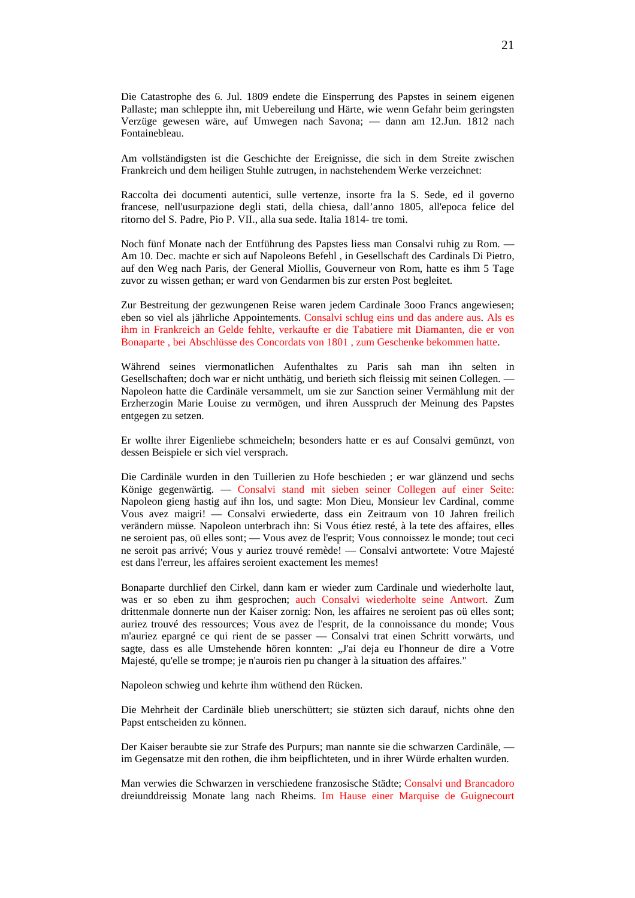Die Catastrophe des 6. Jul. 1809 endete die Einsperrung des Papstes in seinem eigenen Pallaste; man schleppte ihn, mit Uebereilung und Härte, wie wenn Gefahr beim geringsten Verzüge gewesen wäre, auf Umwegen nach Savona; — dann am 12.Jun. 1812 nach Fontainebleau.

Am vollständigsten ist die Geschichte der Ereignisse, die sich in dem Streite zwischen Frankreich und dem heiligen Stuhle zutrugen, in nachstehendem Werke verzeichnet:

Raccolta dei documenti autentici, sulle vertenze, insorte fra la S. Sede, ed il governo francese, nell'usurpazione degli stati, della chiesa, dall'anno 1805, all'epoca felice del ritorno del S. Padre, Pio P. VII., alla sua sede. Italia 1814- tre tomi.

Noch fünf Monate nach der Entführung des Papstes liess man Consalvi ruhig zu Rom. — Am 10. Dec. machte er sich auf Napoleons Befehl , in Gesellschaft des Cardinals Di Pietro, auf den Weg nach Paris, der General Miollis, Gouverneur von Rom, hatte es ihm 5 Tage zuvor zu wissen gethan; er ward von Gendarmen bis zur ersten Post begleitet.

Zur Bestreitung der gezwungenen Reise waren jedem Cardinale 3ooo Francs angewiesen; eben so viel als jährliche Appointements. Consalvi schlug eins und das andere aus. Als es ihm in Frankreich an Gelde fehlte, verkaufte er die Tabatiere mit Diamanten, die er von Bonaparte , bei Abschlüsse des Concordats von 1801 , zum Geschenke bekommen hatte.

Während seines viermonatlichen Aufenthaltes zu Paris sah man ihn selten in Gesellschaften; doch war er nicht unthätig, und berieth sich fleissig mit seinen Collegen. — Napoleon hatte die Cardinäle versammelt, um sie zur Sanction seiner Vermählung mit der Erzherzogin Marie Louise zu vermögen, und ihren Ausspruch der Meinung des Papstes entgegen zu setzen.

Er wollte ihrer Eigenliebe schmeicheln; besonders hatte er es auf Consalvi gemünzt, von dessen Beispiele er sich viel versprach.

Die Cardinäle wurden in den Tuillerien zu Hofe beschieden ; er war glänzend und sechs Könige gegenwärtig. — Consalvi stand mit sieben seiner Collegen auf einer Seite: Napoleon gieng hastig auf ihn los, und sagte: Mon Dieu, Monsieur lev Cardinal, comme Vous avez maigri! — Consalvi erwiederte, dass ein Zeitraum von 10 Jahren freilich verändern müsse. Napoleon unterbrach ihn: Si Vous étiez resté, à la tete des affaires, elles ne seroient pas, oü elles sont; — Vous avez de l'esprit; Vous connoissez le monde; tout ceci ne seroit pas arrivé; Vous y auriez trouvé remède! — Consalvi antwortete: Votre Majesté est dans l'erreur, les affaires seroient exactement les memes!

Bonaparte durchlief den Cirkel, dann kam er wieder zum Cardinale und wiederholte laut, was er so eben zu ihm gesprochen; auch Consalvi wiederholte seine Antwort. Zum drittenmale donnerte nun der Kaiser zornig: Non, les affaires ne seroient pas oü elles sont; auriez trouvé des ressources; Vous avez de l'esprit, de la connoissance du monde; Vous m'auriez epargné ce qui rient de se passer — Consalvi trat einen Schritt vorwärts, und sagte, dass es alle Umstehende hören konnten: "J'ai deja eu l'honneur de dire a Votre Majesté, qu'elle se trompe; je n'aurois rien pu changer à la situation des affaires."

Napoleon schwieg und kehrte ihm wüthend den Rücken.

Die Mehrheit der Cardinäle blieb unerschüttert; sie stüzten sich darauf, nichts ohne den Papst entscheiden zu können.

Der Kaiser beraubte sie zur Strafe des Purpurs; man nannte sie die schwarzen Cardinäle, im Gegensatze mit den rothen, die ihm beipflichteten, und in ihrer Würde erhalten wurden.

Man verwies die Schwarzen in verschiedene franzosische Städte; Consalvi und Brancadoro dreiunddreissig Monate lang nach Rheims. Im Hause einer Marquise de Guignecourt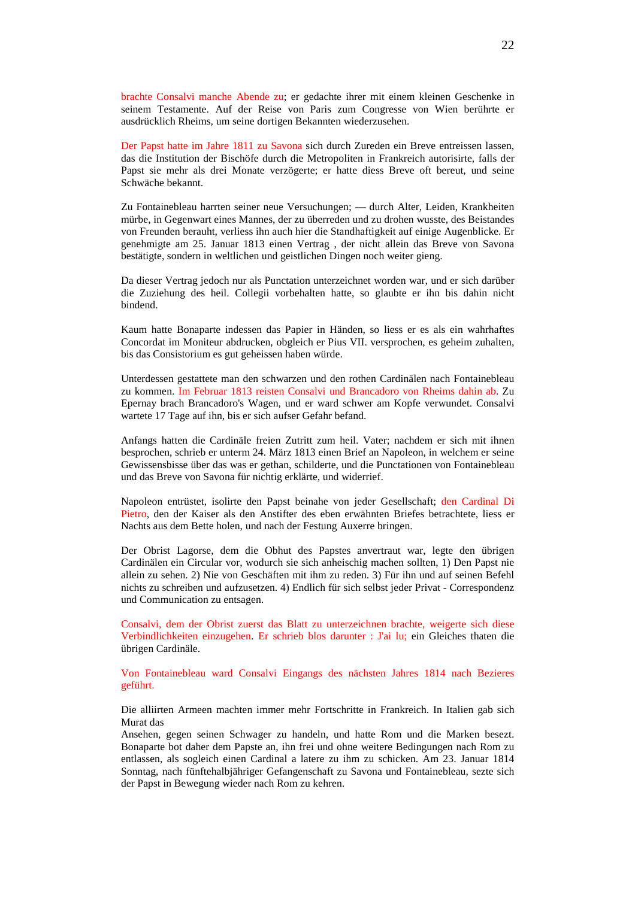brachte Consalvi manche Abende zu; er gedachte ihrer mit einem kleinen Geschenke in seinem Testamente. Auf der Reise von Paris zum Congresse von Wien berührte er ausdrücklich Rheims, um seine dortigen Bekannten wiederzusehen.

Der Papst hatte im Jahre 1811 zu Savona sich durch Zureden ein Breve entreissen lassen, das die Institution der Bischöfe durch die Metropoliten in Frankreich autorisirte, falls der Papst sie mehr als drei Monate verzögerte; er hatte diess Breve oft bereut, und seine Schwäche bekannt.

Zu Fontainebleau harrten seiner neue Versuchungen; — durch Alter, Leiden, Krankheiten mürbe, in Gegenwart eines Mannes, der zu überreden und zu drohen wusste, des Beistandes von Freunden berauht, verliess ihn auch hier die Standhaftigkeit auf einige Augenblicke. Er genehmigte am 25. Januar 1813 einen Vertrag , der nicht allein das Breve von Savona bestätigte, sondern in weltlichen und geistlichen Dingen noch weiter gieng.

Da dieser Vertrag jedoch nur als Punctation unterzeichnet worden war, und er sich darüber die Zuziehung des heil. Collegii vorbehalten hatte, so glaubte er ihn bis dahin nicht bindend.

Kaum hatte Bonaparte indessen das Papier in Händen, so liess er es als ein wahrhaftes Concordat im Moniteur abdrucken, obgleich er Pius VII. versprochen, es geheim zuhalten, bis das Consistorium es gut geheissen haben würde.

Unterdessen gestattete man den schwarzen und den rothen Cardinälen nach Fontainebleau zu kommen. Im Februar 1813 reisten Consalvi und Brancadoro von Rheims dahin ab. Zu Epernay brach Brancadoro's Wagen, und er ward schwer am Kopfe verwundet. Consalvi wartete 17 Tage auf ihn, bis er sich aufser Gefahr befand.

Anfangs hatten die Cardinäle freien Zutritt zum heil. Vater; nachdem er sich mit ihnen besprochen, schrieb er unterm 24. März 1813 einen Brief an Napoleon, in welchem er seine Gewissensbisse über das was er gethan, schilderte, und die Punctationen von Fontainebleau und das Breve von Savona für nichtig erklärte, und widerrief.

Napoleon entrüstet, isolirte den Papst beinahe von jeder Gesellschaft; den Cardinal Di Pietro, den der Kaiser als den Anstifter des eben erwähnten Briefes betrachtete, liess er Nachts aus dem Bette holen, und nach der Festung Auxerre bringen.

Der Obrist Lagorse, dem die Obhut des Papstes anvertraut war, legte den übrigen Cardinälen ein Circular vor, wodurch sie sich anheischig machen sollten, 1) Den Papst nie allein zu sehen. 2) Nie von Geschäften mit ihm zu reden. 3) Für ihn und auf seinen Befehl nichts zu schreiben und aufzusetzen. 4) Endlich für sich selbst jeder Privat - Correspondenz und Communication zu entsagen.

Consalvi, dem der Obrist zuerst das Blatt zu unterzeichnen brachte, weigerte sich diese Verbindlichkeiten einzugehen. Er schrieb blos darunter : J'ai lu; ein Gleiches thaten die übrigen Cardinäle.

Von Fontainebleau ward Consalvi Eingangs des nächsten Jahres 1814 nach Bezieres geführt.

Die alliirten Armeen machten immer mehr Fortschritte in Frankreich. In Italien gab sich Murat das

Ansehen, gegen seinen Schwager zu handeln, und hatte Rom und die Marken besezt. Bonaparte bot daher dem Papste an, ihn frei und ohne weitere Bedingungen nach Rom zu entlassen, als sogleich einen Cardinal a latere zu ihm zu schicken. Am 23. Januar 1814 Sonntag, nach fünftehalbjähriger Gefangenschaft zu Savona und Fontainebleau, sezte sich der Papst in Bewegung wieder nach Rom zu kehren.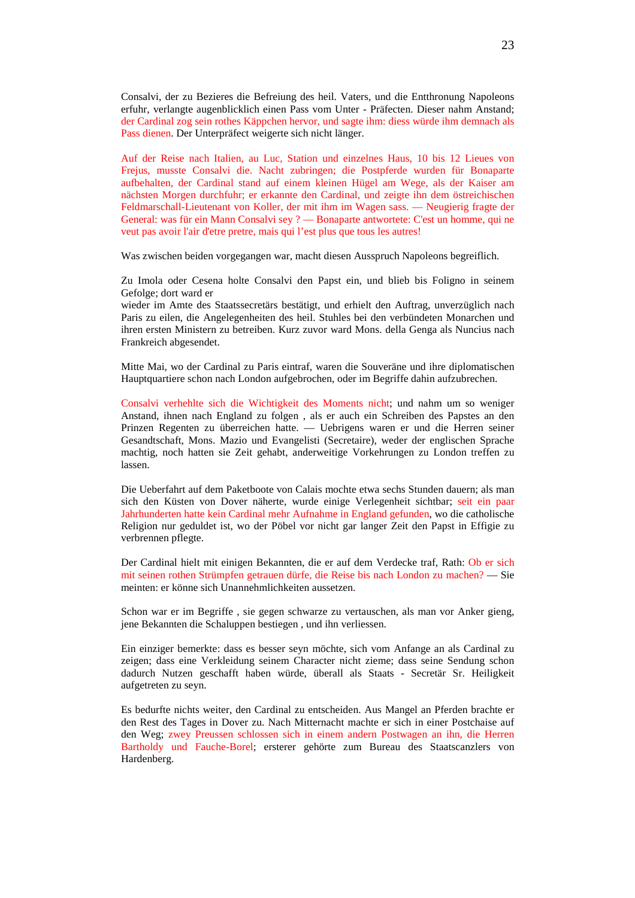Consalvi, der zu Bezieres die Befreiung des heil. Vaters, und die Entthronung Napoleons erfuhr, verlangte augenblicklich einen Pass vom Unter - Präfecten. Dieser nahm Anstand; der Cardinal zog sein rothes Käppchen hervor, und sagte ihm: diess würde ihm demnach als Pass dienen. Der Unterpräfect weigerte sich nicht länger.

Auf der Reise nach Italien, au Luc, Station und einzelnes Haus, 10 bis 12 Lieues von Frejus, musste Consalvi die. Nacht zubringen; die Postpferde wurden für Bonaparte aufbehalten, der Cardinal stand auf einem kleinen Hügel am Wege, als der Kaiser am nächsten Morgen durchfuhr; er erkannte den Cardinal, und zeigte ihn dem östreichischen Feldmarschall-Lieutenant von Koller, der mit ihm im Wagen sass. — Neugierig fragte der General: was für ein Mann Consalvi sey ? — Bonaparte antwortete: C'est un homme, qui ne veut pas avoir l'air d'etre pretre, mais qui l'est plus que tous les autres!

Was zwischen beiden vorgegangen war, macht diesen Ausspruch Napoleons begreiflich.

Zu Imola oder Cesena holte Consalvi den Papst ein, und blieb bis Foligno in seinem Gefolge; dort ward er

wieder im Amte des Staatssecretärs bestätigt, und erhielt den Auftrag, unverzüglich nach Paris zu eilen, die Angelegenheiten des heil. Stuhles bei den verbündeten Monarchen und ihren ersten Ministern zu betreiben. Kurz zuvor ward Mons. della Genga als Nuncius nach Frankreich abgesendet.

Mitte Mai, wo der Cardinal zu Paris eintraf, waren die Souveräne und ihre diplomatischen Hauptquartiere schon nach London aufgebrochen, oder im Begriffe dahin aufzubrechen.

Consalvi verhehlte sich die Wichtigkeit des Moments nicht; und nahm um so weniger Anstand, ihnen nach England zu folgen , als er auch ein Schreiben des Papstes an den Prinzen Regenten zu überreichen hatte. — Uebrigens waren er und die Herren seiner Gesandtschaft, Mons. Mazio und Evangelisti (Secretaire), weder der englischen Sprache machtig, noch hatten sie Zeit gehabt, anderweitige Vorkehrungen zu London treffen zu lassen.

Die Ueberfahrt auf dem Paketboote von Calais mochte etwa sechs Stunden dauern; als man sich den Küsten von Dover näherte, wurde einige Verlegenheit sichtbar; seit ein paar Jahrhunderten hatte kein Cardinal mehr Aufnahme in England gefunden, wo die catholische Religion nur geduldet ist, wo der Pöbel vor nicht gar langer Zeit den Papst in Effigie zu verbrennen pflegte.

Der Cardinal hielt mit einigen Bekannten, die er auf dem Verdecke traf, Rath: Ob er sich mit seinen rothen Strümpfen getrauen dürfe, die Reise bis nach London zu machen? — Sie meinten: er könne sich Unannehmlichkeiten aussetzen.

Schon war er im Begriffe , sie gegen schwarze zu vertauschen, als man vor Anker gieng, jene Bekannten die Schaluppen bestiegen , und ihn verliessen.

Ein einziger bemerkte: dass es besser seyn möchte, sich vom Anfange an als Cardinal zu zeigen; dass eine Verkleidung seinem Character nicht zieme; dass seine Sendung schon dadurch Nutzen geschafft haben würde, überall als Staats - Secretär Sr. Heiligkeit aufgetreten zu seyn.

Es bedurfte nichts weiter, den Cardinal zu entscheiden. Aus Mangel an Pferden brachte er den Rest des Tages in Dover zu. Nach Mitternacht machte er sich in einer Postchaise auf den Weg; zwey Preussen schlossen sich in einem andern Postwagen an ihn, die Herren Bartholdy und Fauche-Borel; ersterer gehörte zum Bureau des Staatscanzlers von Hardenberg.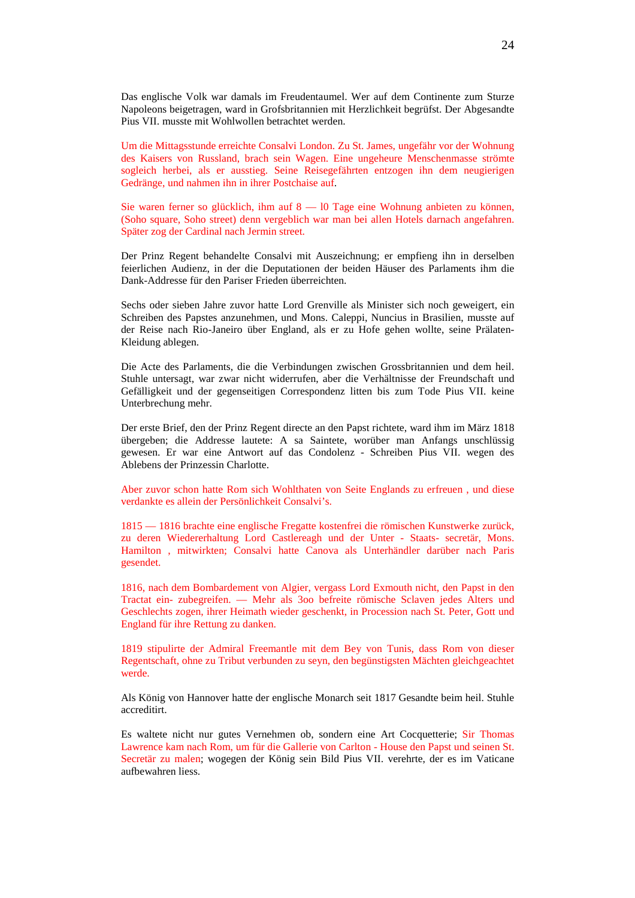Das englische Volk war damals im Freudentaumel. Wer auf dem Continente zum Sturze Napoleons beigetragen, ward in Grofsbritannien mit Herzlichkeit begrüfst. Der Abgesandte Pius VII. musste mit Wohlwollen betrachtet werden.

Um die Mittagsstunde erreichte Consalvi London. Zu St. James, ungefähr vor der Wohnung des Kaisers von Russland, brach sein Wagen. Eine ungeheure Menschenmasse strömte sogleich herbei, als er ausstieg. Seine Reisegefährten entzogen ihn dem neugierigen Gedränge, und nahmen ihn in ihrer Postchaise auf.

Sie waren ferner so glücklich, ihm auf 8 — l0 Tage eine Wohnung anbieten zu können, (Soho square, Soho street) denn vergeblich war man bei allen Hotels darnach angefahren. Später zog der Cardinal nach Jermin street.

Der Prinz Regent behandelte Consalvi mit Auszeichnung; er empfieng ihn in derselben feierlichen Audienz, in der die Deputationen der beiden Häuser des Parlaments ihm die Dank-Addresse für den Pariser Frieden überreichten.

Sechs oder sieben Jahre zuvor hatte Lord Grenville als Minister sich noch geweigert, ein Schreiben des Papstes anzunehmen, und Mons. Caleppi, Nuncius in Brasilien, musste auf der Reise nach Rio-Janeiro über England, als er zu Hofe gehen wollte, seine Prälaten-Kleidung ablegen.

Die Acte des Parlaments, die die Verbindungen zwischen Grossbritannien und dem heil. Stuhle untersagt, war zwar nicht widerrufen, aber die Verhältnisse der Freundschaft und Gefälligkeit und der gegenseitigen Correspondenz litten bis zum Tode Pius VII. keine Unterbrechung mehr.

Der erste Brief, den der Prinz Regent directe an den Papst richtete, ward ihm im März 1818 übergeben; die Addresse lautete: A sa Saintete, worüber man Anfangs unschlüssig gewesen. Er war eine Antwort auf das Condolenz - Schreiben Pius VII. wegen des Ablebens der Prinzessin Charlotte.

Aber zuvor schon hatte Rom sich Wohlthaten von Seite Englands zu erfreuen , und diese verdankte es allein der Persönlichkeit Consalvi's.

1815 — 1816 brachte eine englische Fregatte kostenfrei die römischen Kunstwerke zurück, zu deren Wiedererhaltung Lord Castlereagh und der Unter - Staats- secretär, Mons. Hamilton , mitwirkten; Consalvi hatte Canova als Unterhändler darüber nach Paris gesendet.

1816, nach dem Bombardement von Algier, vergass Lord Exmouth nicht, den Papst in den Tractat ein- zubegreifen. — Mehr als 3oo befreite römische Sclaven jedes Alters und Geschlechts zogen, ihrer Heimath wieder geschenkt, in Procession nach St. Peter, Gott und England für ihre Rettung zu danken.

1819 stipulirte der Admiral Freemantle mit dem Bey von Tunis, dass Rom von dieser Regentschaft, ohne zu Tribut verbunden zu seyn, den begünstigsten Mächten gleichgeachtet werde.

Als König von Hannover hatte der englische Monarch seit 1817 Gesandte beim heil. Stuhle accreditirt.

Es waltete nicht nur gutes Vernehmen ob, sondern eine Art Cocquetterie; Sir Thomas Lawrence kam nach Rom, um für die Gallerie von Carlton - House den Papst und seinen St. Secretär zu malen; wogegen der König sein Bild Pius VII. verehrte, der es im Vaticane aufbewahren liess.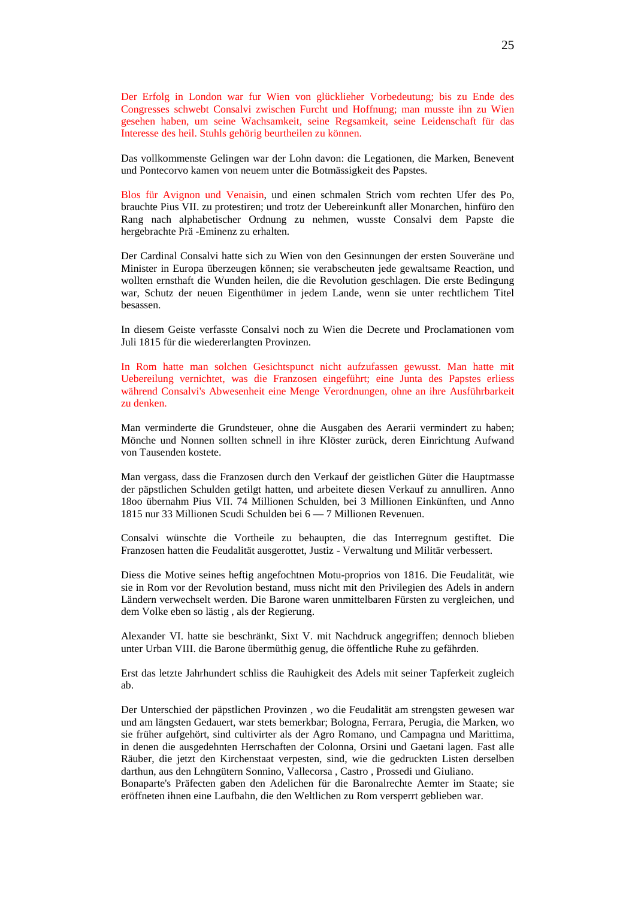Der Erfolg in London war fur Wien von glücklieher Vorbedeutung; bis zu Ende des Congresses schwebt Consalvi zwischen Furcht und Hoffnung; man musste ihn zu Wien gesehen haben, um seine Wachsamkeit, seine Regsamkeit, seine Leidenschaft für das Interesse des heil. Stuhls gehörig beurtheilen zu können.

Das vollkommenste Gelingen war der Lohn davon: die Legationen, die Marken, Benevent und Pontecorvo kamen von neuem unter die Botmässigkeit des Papstes.

Blos für Avignon und Venaisin, und einen schmalen Strich vom rechten Ufer des Po, brauchte Pius VII. zu protestiren; und trotz der Uebereinkunft aller Monarchen, hinfüro den Rang nach alphabetischer Ordnung zu nehmen, wusste Consalvi dem Papste die hergebrachte Prä -Eminenz zu erhalten.

Der Cardinal Consalvi hatte sich zu Wien von den Gesinnungen der ersten Souveräne und Minister in Europa überzeugen können; sie verabscheuten jede gewaltsame Reaction, und wollten ernsthaft die Wunden heilen, die die Revolution geschlagen. Die erste Bedingung war, Schutz der neuen Eigenthümer in jedem Lande, wenn sie unter rechtlichem Titel besassen.

In diesem Geiste verfasste Consalvi noch zu Wien die Decrete und Proclamationen vom Juli 1815 für die wiedererlangten Provinzen.

In Rom hatte man solchen Gesichtspunct nicht aufzufassen gewusst. Man hatte mit Uebereilung vernichtet, was die Franzosen eingeführt; eine Junta des Papstes erliess während Consalvi's Abwesenheit eine Menge Verordnungen, ohne an ihre Ausführbarkeit zu denken.

Man verminderte die Grundsteuer, ohne die Ausgaben des Aerarii vermindert zu haben; Mönche und Nonnen sollten schnell in ihre Klöster zurück, deren Einrichtung Aufwand von Tausenden kostete.

Man vergass, dass die Franzosen durch den Verkauf der geistlichen Güter die Hauptmasse der päpstlichen Schulden getilgt hatten, und arbeitete diesen Verkauf zu annulliren. Anno 18oo übernahm Pius VII. 74 Millionen Schulden, bei 3 Millionen Einkünften, und Anno 1815 nur 33 Millionen Scudi Schulden bei 6 — 7 Millionen Revenuen.

Consalvi wünschte die Vortheile zu behaupten, die das Interregnum gestiftet. Die Franzosen hatten die Feudalität ausgerottet, Justiz - Verwaltung und Militär verbessert.

Diess die Motive seines heftig angefochtnen Motu-proprios von 1816. Die Feudalität, wie sie in Rom vor der Revolution bestand, muss nicht mit den Privilegien des Adels in andern Ländern verwechselt werden. Die Barone waren unmittelbaren Fürsten zu vergleichen, und dem Volke eben so lästig , als der Regierung.

Alexander VI. hatte sie beschränkt, Sixt V. mit Nachdruck angegriffen; dennoch blieben unter Urban VIII. die Barone übermüthig genug, die öffentliche Ruhe zu gefährden.

Erst das letzte Jahrhundert schliss die Rauhigkeit des Adels mit seiner Tapferkeit zugleich ab.

Der Unterschied der päpstlichen Provinzen , wo die Feudalität am strengsten gewesen war und am längsten Gedauert, war stets bemerkbar; Bologna, Ferrara, Perugia, die Marken, wo sie früher aufgehört, sind cultivirter als der Agro Romano, und Campagna und Marittima, in denen die ausgedehnten Herrschaften der Colonna, Orsini und Gaetani lagen. Fast alle Räuber, die jetzt den Kirchenstaat verpesten, sind, wie die gedruckten Listen derselben darthun, aus den Lehngütern Sonnino, Vallecorsa , Castro , Prossedi und Giuliano.

Bonaparte's Präfecten gaben den Adelichen für die Baronalrechte Aemter im Staate; sie eröffneten ihnen eine Laufbahn, die den Weltlichen zu Rom versperrt geblieben war.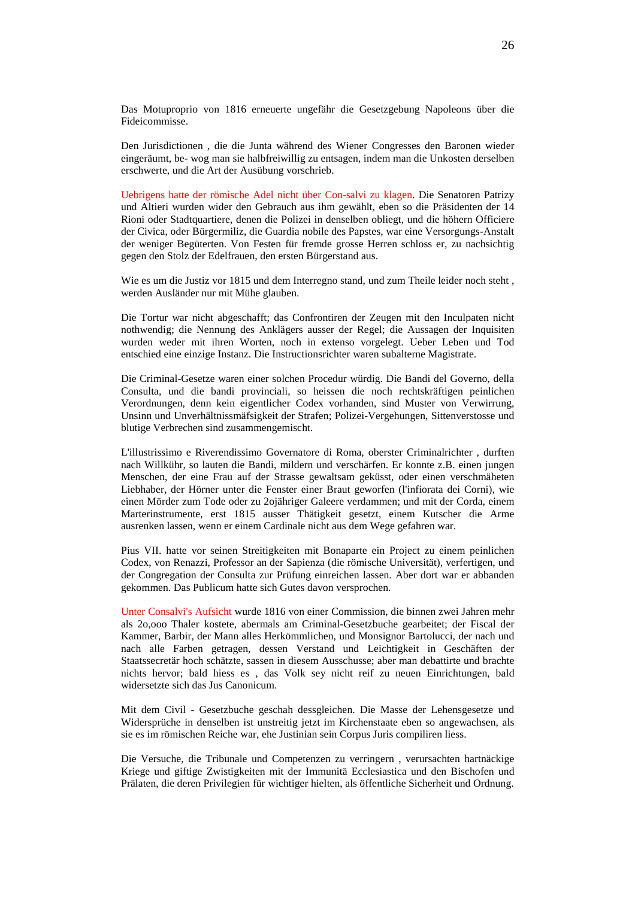Das Motuproprio von 1816 erneuerte ungefähr die Gesetzgebung Napoleons über die Fideicommisse.

Den Jurisdictionen , die die Junta während des Wiener Congresses den Baronen wieder eingeräumt, be- wog man sie halbfreiwillig zu entsagen, indem man die Unkosten derselben erschwerte, und die Art der Ausübung vorschrieb.

Uebrigens hatte der römische Adel nicht über Con-salvi zu klagen. Die Senatoren Patrizy und Altieri wurden wider den Gebrauch aus ihm gewählt, eben so die Präsidenten der 14 Rioni oder Stadtquartiere, denen die Polizei in denselben obliegt, und die höhern Officiere der Civica, oder Bürgermiliz, die Guardia nobile des Papstes, war eine Versorgungs-Anstalt der weniger Begüterten. Von Festen für fremde grosse Herren schloss er, zu nachsichtig gegen den Stolz der Edelfrauen, den ersten Bürgerstand aus.

Wie es um die Justiz vor 1815 und dem Interregno stand, und zum Theile leider noch steht , werden Ausländer nur mit Mühe glauben.

Die Tortur war nicht abgeschafft; das Confrontiren der Zeugen mit den Inculpaten nicht nothwendig; die Nennung des Anklägers ausser der Regel; die Aussagen der Inquisiten wurden weder mit ihren Worten, noch in extenso vorgelegt. Ueber Leben und Tod entschied eine einzige Instanz. Die Instructionsrichter waren subalterne Magistrate.

Die Criminal-Gesetze waren einer solchen Procedur würdig. Die Bandi del Governo, della Consulta, und die bandi provinciali, so heissen die noch rechtskräftigen peinlichen Verordnungen, denn kein eigentlicher Codex vorhanden, sind Muster von Verwirrung, Unsinn und Unverhältnissmäfsigkeit der Strafen; Polizei-Vergehungen, Sittenverstosse und blutige Verbrechen sind zusammengemischt.

L'illustrissimo e Riverendissimo Governatore di Roma, oberster Criminalrichter , durften nach Willkühr, so lauten die Bandi, mildern und verschärfen. Er konnte z.B. einen jungen Menschen, der eine Frau auf der Strasse gewaltsam geküsst, oder einen verschmäheten Liebhaber, der Hörner unter die Fenster einer Braut geworfen (l'infiorata dei Corni), wie einen Mörder zum Tode oder zu 2ojähriger Galeere verdammen; und mit der Corda, einem Marterinstrumente, erst 1815 ausser Thätigkeit gesetzt, einem Kutscher die Arme ausrenken lassen, wenn er einem Cardinale nicht aus dem Wege gefahren war.

Pius VII. hatte vor seinen Streitigkeiten mit Bonaparte ein Project zu einem peinlichen Codex, von Renazzi, Professor an der Sapienza (die römische Universität), verfertigen, und der Congregation der Consulta zur Prüfung einreichen lassen. Aber dort war er abbanden gekommen. Das Publicum hatte sich Gutes davon versprochen.

Unter Consalvi's Aufsicht wurde 1816 von einer Commission, die binnen zwei Jahren mehr als 2o,ooo Thaler kostete, abermals am Criminal-Gesetzbuche gearbeitet; der Fiscal der Kammer, Barbir, der Mann alles Herkömmlichen, und Monsignor Bartolucci, der nach und nach alle Farben getragen, dessen Verstand und Leichtigkeit in Geschäften der Staatssecretär hoch schätzte, sassen in diesem Ausschusse; aber man debattirte und brachte nichts hervor; bald hiess es , das Volk sey nicht reif zu neuen Einrichtungen, bald widersetzte sich das Jus Canonicum.

Mit dem Civil - Gesetzbuche geschah dessgleichen. Die Masse der Lehensgesetze und Widersprüche in denselben ist unstreitig jetzt im Kirchenstaate eben so angewachsen, als sie es im römischen Reiche war, ehe Justinian sein Corpus Juris compiliren liess.

Die Versuche, die Tribunale und Competenzen zu verringern , verursachten hartnäckige Kriege und giftige Zwistigkeiten mit der Immunitä Ecclesiastica und den Bischofen und Prälaten, die deren Privilegien für wichtiger hielten, als öffentliche Sicherheit und Ordnung.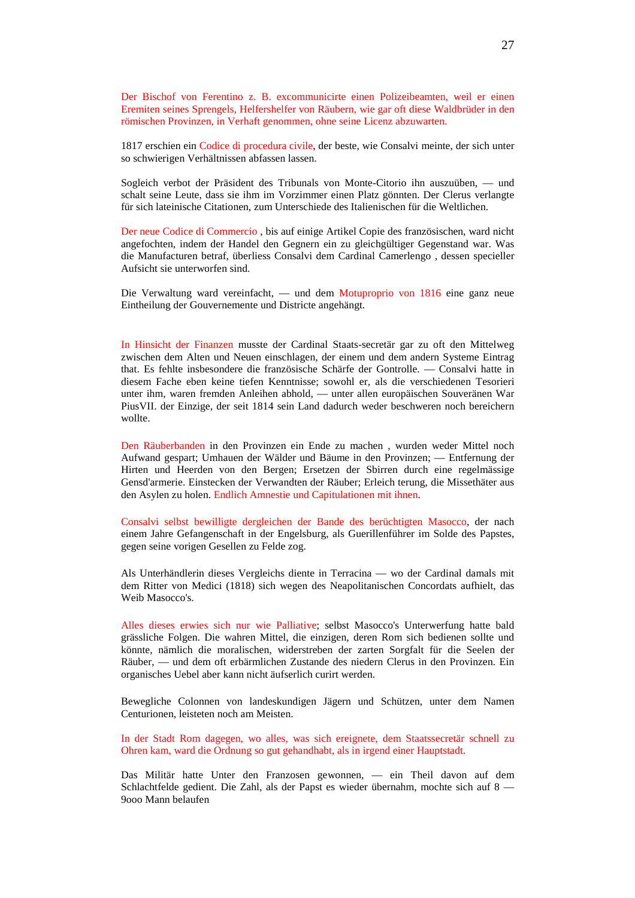Der Bischof von Ferentino z. B. excommunicirte einen Polizeibeamten, weil er einen Eremiten seines Sprengels, Helfershelfer von Räubern, wie gar oft diese Waldbrüder in den römischen Provinzen, in Verhaft genommen, ohne seine Licenz abzuwarten.

1817 erschien ein Codice di procedura civile, der beste, wie Consalvi meinte, der sich unter so schwierigen Verhältnissen abfassen lassen.

Sogleich verbot der Präsident des Tribunals von Monte-Citorio ihn auszuüben, — und schalt seine Leute, dass sie ihm im Vorzimmer einen Platz gönnten. Der Clerus verlangte für sich lateinische Citationen, zum Unterschiede des Italienischen für die Weltlichen.

Der neue Codice di Commercio , bis auf einige Artikel Copie des französischen, ward nicht angefochten, indem der Handel den Gegnern ein zu gleichgültiger Gegenstand war. Was die Manufacturen betraf, überliess Consalvi dem Cardinal Camerlengo , dessen specieller Aufsicht sie unterworfen sind.

Die Verwaltung ward vereinfacht, — und dem Motuproprio von 1816 eine ganz neue Eintheilung der Gouvernemente und Districte angehängt.

In Hinsicht der Finanzen musste der Cardinal Staats-secretär gar zu oft den Mittelweg zwischen dem Alten und Neuen einschlagen, der einem und dem andern Systeme Eintrag that. Es fehlte insbesondere die französische Schärfe der Gontrolle. — Consalvi hatte in diesem Fache eben keine tiefen Kenntnisse; sowohl er, als die verschiedenen Tesorieri unter ihm, waren fremden Anleihen abhold, — unter allen europäischen Souveränen War PiusVII. der Einzige, der seit 1814 sein Land dadurch weder beschweren noch bereichern wollte.

Den Räuberbanden in den Provinzen ein Ende zu machen , wurden weder Mittel noch Aufwand gespart; Umhauen der Wälder und Bäume in den Provinzen; — Entfernung der Hirten und Heerden von den Bergen; Ersetzen der Sbirren durch eine regelmässige Gensd'armerie. Einstecken der Verwandten der Räuber; Erleich terung, die Missethäter aus den Asylen zu holen. Endlich Amnestie und Capitulationen mit ihnen.

Consalvi selbst bewilligte dergleichen der Bande des berüchtigten Masocco, der nach einem Jahre Gefangenschaft in der Engelsburg, als Guerillenführer im Solde des Papstes, gegen seine vorigen Gesellen zu Felde zog.

Als Unterhändlerin dieses Vergleichs diente in Terracina — wo der Cardinal damals mit dem Ritter von Medici (1818) sich wegen des Neapolitanischen Concordats aufhielt, das Weib Masocco's.

Alles dieses erwies sich nur wie Palliative; selbst Masocco's Unterwerfung hatte bald grässliche Folgen. Die wahren Mittel, die einzigen, deren Rom sich bedienen sollte und könnte, nämlich die moralischen, widerstreben der zarten Sorgfalt für die Seelen der Räuber, — und dem oft erbärmlichen Zustande des niedern Clerus in den Provinzen. Ein organisches Uebel aber kann nicht äufserlich curirt werden.

Bewegliche Colonnen von landeskundigen Jägern und Schützen, unter dem Namen Centurionen, leisteten noch am Meisten.

In der Stadt Rom dagegen, wo alles, was sich ereignete, dem Staatssecretär schnell zu Ohren kam, ward die Ordnung so gut gehandhabt, als in irgend einer Hauptstadt.

Das Militär hatte Unter den Franzosen gewonnen, — ein Theil davon auf dem Schlachtfelde gedient. Die Zahl, als der Papst es wieder übernahm, mochte sich auf 8 -9ooo Mann belaufen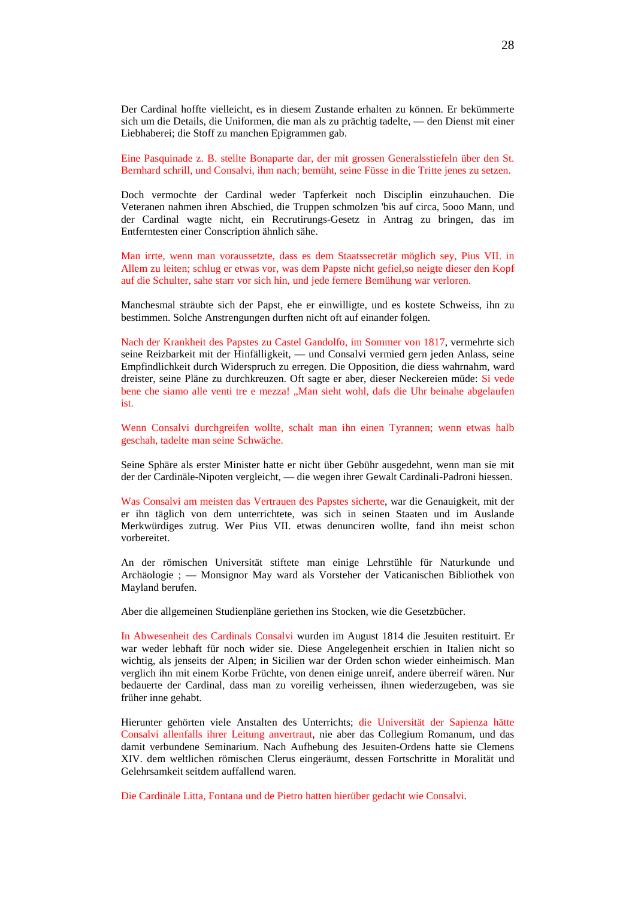Der Cardinal hoffte vielleicht, es in diesem Zustande erhalten zu können. Er bekümmerte sich um die Details, die Uniformen, die man als zu prächtig tadelte, — den Dienst mit einer Liebhaberei; die Stoff zu manchen Epigrammen gab.

Eine Pasquinade z. B. stellte Bonaparte dar, der mit grossen Generalsstiefeln über den St. Bernhard schrill, und Consalvi, ihm nach; bemüht, seine Füsse in die Tritte jenes zu setzen.

Doch vermochte der Cardinal weder Tapferkeit noch Disciplin einzuhauchen. Die Veteranen nahmen ihren Abschied, die Truppen schmolzen 'bis auf circa, 5ooo Mann, und der Cardinal wagte nicht, ein Recrutirungs-Gesetz in Antrag zu bringen, das im Entferntesten einer Conscription ähnlich sähe.

Man irrte, wenn man voraussetzte, dass es dem Staatssecretär möglich sey, Pius VII. in Allem zu leiten; schlug er etwas vor, was dem Papste nicht gefiel,so neigte dieser den Kopf auf die Schulter, sahe starr vor sich hin, und jede fernere Bemühung war verloren.

Manchesmal sträubte sich der Papst, ehe er einwilligte, und es kostete Schweiss, ihn zu bestimmen. Solche Anstrengungen durften nicht oft auf einander folgen.

Nach der Krankheit des Papstes zu Castel Gandolfo, im Sommer von 1817, vermehrte sich seine Reizbarkeit mit der Hinfälligkeit, — und Consalvi vermied gern jeden Anlass, seine Empfindlichkeit durch Widerspruch zu erregen. Die Opposition, die diess wahrnahm, ward dreister, seine Pläne zu durchkreuzen. Oft sagte er aber, dieser Neckereien müde: Si vede bene che siamo alle venti tre e mezza! "Man sieht wohl, dafs die Uhr beinahe abgelaufen ist.

Wenn Consalvi durchgreifen wollte, schalt man ihn einen Tyrannen; wenn etwas halb geschah, tadelte man seine Schwäche.

Seine Sphäre als erster Minister hatte er nicht über Gebühr ausgedehnt, wenn man sie mit der der Cardinäle-Nipoten vergleicht, — die wegen ihrer Gewalt Cardinali-Padroni hiessen.

Was Consalvi am meisten das Vertrauen des Papstes sicherte, war die Genauigkeit, mit der er ihn täglich von dem unterrichtete, was sich in seinen Staaten und im Auslande Merkwürdiges zutrug. Wer Pius VII. etwas denunciren wollte, fand ihn meist schon vorbereitet.

An der römischen Universität stiftete man einige Lehrstühle für Naturkunde und Archäologie ; — Monsignor May ward als Vorsteher der Vaticanischen Bibliothek von Mayland berufen.

Aber die allgemeinen Studienpläne geriethen ins Stocken, wie die Gesetzbücher.

In Abwesenheit des Cardinals Consalvi wurden im August 1814 die Jesuiten restituirt. Er war weder lebhaft für noch wider sie. Diese Angelegenheit erschien in Italien nicht so wichtig, als jenseits der Alpen; in Sicilien war der Orden schon wieder einheimisch. Man verglich ihn mit einem Korbe Früchte, von denen einige unreif, andere überreif wären. Nur bedauerte der Cardinal, dass man zu voreilig verheissen, ihnen wiederzugeben, was sie früher inne gehabt.

Hierunter gehörten viele Anstalten des Unterrichts; die Universität der Sapienza hätte Consalvi allenfalls ihrer Leitung anvertraut, nie aber das Collegium Romanum, und das damit verbundene Seminarium. Nach Aufhebung des Jesuiten-Ordens hatte sie Clemens XIV. dem weltlichen römischen Clerus eingeräumt, dessen Fortschritte in Moralität und Gelehrsamkeit seitdem auffallend waren.

Die Cardinäle Litta, Fontana und de Pietro hatten hierüber gedacht wie Consalvi.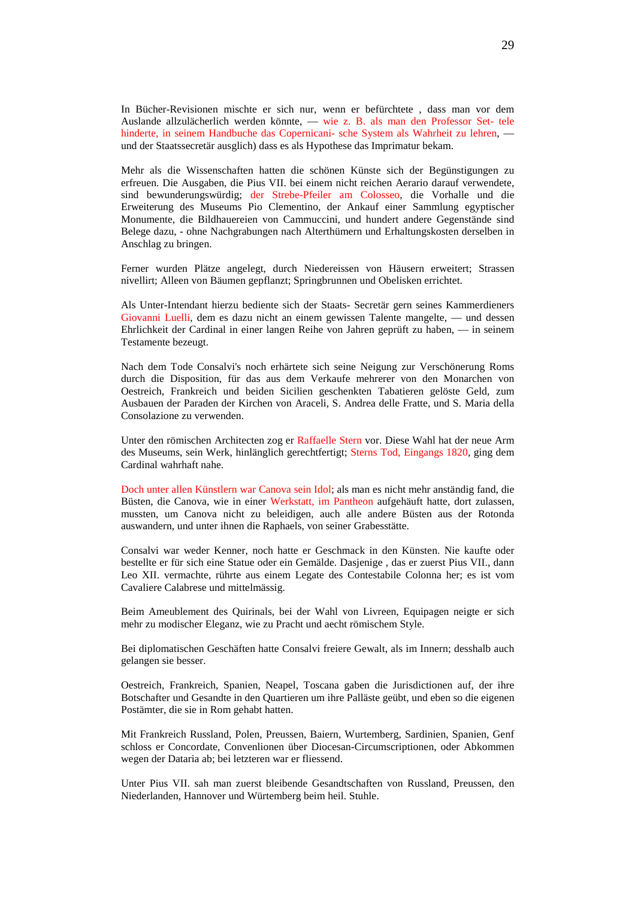In Bücher-Revisionen mischte er sich nur, wenn er befürchtete , dass man vor dem Auslande allzulächerlich werden könnte, — wie z. B. als man den Professor Set- tele hinderte, in seinem Handbuche das Copernicani- sche System als Wahrheit zu lehren, und der Staatssecretär ausglich) dass es als Hypothese das Imprimatur bekam.

Mehr als die Wissenschaften hatten die schönen Künste sich der Begünstigungen zu erfreuen. Die Ausgaben, die Pius VII. bei einem nicht reichen Aerario darauf verwendete, sind bewunderungswürdig; der Strebe-Pfeiler am Colosseo, die Vorhalle und die Erweiterung des Museums Pio Clementino, der Ankauf einer Sammlung egyptischer Monumente, die Bildhauereien von Cammuccini, und hundert andere Gegenstände sind Belege dazu, - ohne Nachgrabungen nach Alterthümern und Erhaltungskosten derselben in Anschlag zu bringen.

Ferner wurden Plätze angelegt, durch Niedereissen von Häusern erweitert; Strassen nivellirt; Alleen von Bäumen gepflanzt; Springbrunnen und Obelisken errichtet.

Als Unter-Intendant hierzu bediente sich der Staats- Secretär gern seines Kammerdieners Giovanni Luelli, dem es dazu nicht an einem gewissen Talente mangelte, — und dessen Ehrlichkeit der Cardinal in einer langen Reihe von Jahren geprüft zu haben, — in seinem Testamente bezeugt.

Nach dem Tode Consalvi's noch erhärtete sich seine Neigung zur Verschönerung Roms durch die Disposition, für das aus dem Verkaufe mehrerer von den Monarchen von Oestreich, Frankreich und beiden Sicilien geschenkten Tabatieren gelöste Geld, zum Ausbauen der Paraden der Kirchen von Araceli, S. Andrea delle Fratte, und S. Maria della Consolazione zu verwenden.

Unter den römischen Architecten zog er Raffaelle Stern vor. Diese Wahl hat der neue Arm des Museums, sein Werk, hinlänglich gerechtfertigt; Sterns Tod, Eingangs 1820, ging dem Cardinal wahrhaft nahe.

Doch unter allen Künstlern war Canova sein Idol; als man es nicht mehr anständig fand, die Büsten, die Canova, wie in einer Werkstatt, im Pantheon aufgehäuft hatte, dort zulassen, mussten, um Canova nicht zu beleidigen, auch alle andere Büsten aus der Rotonda auswandern, und unter ihnen die Raphaels, von seiner Grabesstätte.

Consalvi war weder Kenner, noch hatte er Geschmack in den Künsten. Nie kaufte oder bestellte er für sich eine Statue oder ein Gemälde. Dasjenige , das er zuerst Pius VII., dann Leo XII. vermachte, rührte aus einem Legate des Contestabile Colonna her; es ist vom Cavaliere Calabrese und mittelmässig.

Beim Ameublement des Quirinals, bei der Wahl von Livreen, Equipagen neigte er sich mehr zu modischer Eleganz, wie zu Pracht und aecht römischem Style.

Bei diplomatischen Geschäften hatte Consalvi freiere Gewalt, als im Innern; desshalb auch gelangen sie besser.

Oestreich, Frankreich, Spanien, Neapel, Toscana gaben die Jurisdictionen auf, der ihre Botschafter und Gesandte in den Quartieren um ihre Palläste geübt, und eben so die eigenen Postämter, die sie in Rom gehabt hatten.

Mit Frankreich Russland, Polen, Preussen, Baiern, Wurtemberg, Sardinien, Spanien, Genf schloss er Concordate, Convenlionen über Diocesan-Circumscriptionen, oder Abkommen wegen der Dataria ab; bei letzteren war er fliessend.

Unter Pius VII. sah man zuerst bleibende Gesandtschaften von Russland, Preussen, den Niederlanden, Hannover und Würtemberg beim heil. Stuhle.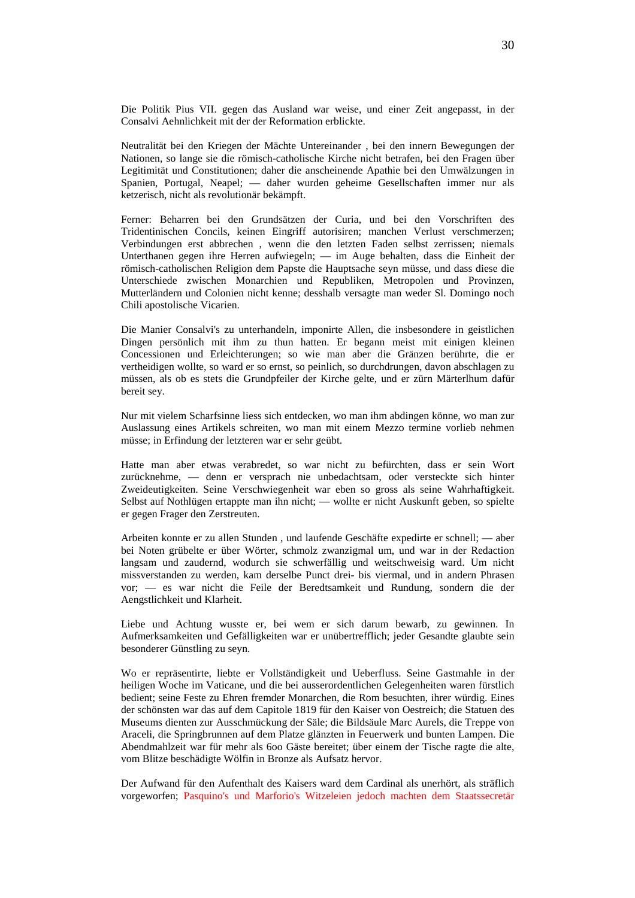Die Politik Pius VII. gegen das Ausland war weise, und einer Zeit angepasst, in der Consalvi Aehnlichkeit mit der der Reformation erblickte.

Neutralität bei den Kriegen der Mächte Untereinander , bei den innern Bewegungen der Nationen, so lange sie die römisch-catholische Kirche nicht betrafen, bei den Fragen über Legitimität und Constitutionen; daher die anscheinende Apathie bei den Umwälzungen in Spanien, Portugal, Neapel; — daher wurden geheime Gesellschaften immer nur als ketzerisch, nicht als revolutionär bekämpft.

Ferner: Beharren bei den Grundsätzen der Curia, und bei den Vorschriften des Tridentinischen Concils, keinen Eingriff autorisiren; manchen Verlust verschmerzen; Verbindungen erst abbrechen , wenn die den letzten Faden selbst zerrissen; niemals Unterthanen gegen ihre Herren aufwiegeln; — im Auge behalten, dass die Einheit der römisch-catholischen Religion dem Papste die Hauptsache seyn müsse, und dass diese die Unterschiede zwischen Monarchien und Republiken, Metropolen und Provinzen, Mutterländern und Colonien nicht kenne; desshalb versagte man weder Sl. Domingo noch Chili apostolische Vicarien.

Die Manier Consalvi's zu unterhandeln, imponirte Allen, die insbesondere in geistlichen Dingen persönlich mit ihm zu thun hatten. Er begann meist mit einigen kleinen Concessionen und Erleichterungen; so wie man aber die Gränzen berührte, die er vertheidigen wollte, so ward er so ernst, so peinlich, so durchdrungen, davon abschlagen zu müssen, als ob es stets die Grundpfeiler der Kirche gelte, und er zürn Märterlhum dafür bereit sey.

Nur mit vielem Scharfsinne liess sich entdecken, wo man ihm abdingen könne, wo man zur Auslassung eines Artikels schreiten, wo man mit einem Mezzo termine vorlieb nehmen müsse; in Erfindung der letzteren war er sehr geübt.

Hatte man aber etwas verabredet, so war nicht zu befürchten, dass er sein Wort zurücknehme, — denn er versprach nie unbedachtsam, oder versteckte sich hinter Zweideutigkeiten. Seine Verschwiegenheit war eben so gross als seine Wahrhaftigkeit. Selbst auf Nothlügen ertappte man ihn nicht; — wollte er nicht Auskunft geben, so spielte er gegen Frager den Zerstreuten.

Arbeiten konnte er zu allen Stunden , und laufende Geschäfte expedirte er schnell; — aber bei Noten grübelte er über Wörter, schmolz zwanzigmal um, und war in der Redaction langsam und zaudernd, wodurch sie schwerfällig und weitschweisig ward. Um nicht missverstanden zu werden, kam derselbe Punct drei- bis viermal, und in andern Phrasen vor; — es war nicht die Feile der Beredtsamkeit und Rundung, sondern die der Aengstlichkeit und Klarheit.

Liebe und Achtung wusste er, bei wem er sich darum bewarb, zu gewinnen. In Aufmerksamkeiten und Gefälligkeiten war er unübertrefflich; jeder Gesandte glaubte sein besonderer Günstling zu seyn.

Wo er repräsentirte, liebte er Vollständigkeit und Ueberfluss. Seine Gastmahle in der heiligen Woche im Vaticane, und die bei ausserordentlichen Gelegenheiten waren fürstlich bedient; seine Feste zu Ehren fremder Monarchen, die Rom besuchten, ihrer würdig. Eines der schönsten war das auf dem Capitole 1819 für den Kaiser von Oestreich; die Statuen des Museums dienten zur Ausschmückung der Säle; die Bildsäule Marc Aurels, die Treppe von Araceli, die Springbrunnen auf dem Platze glänzten in Feuerwerk und bunten Lampen. Die Abendmahlzeit war für mehr als 6oo Gäste bereitet; über einem der Tische ragte die alte, vom Blitze beschädigte Wölfin in Bronze als Aufsatz hervor.

Der Aufwand für den Aufenthalt des Kaisers ward dem Cardinal als unerhört, als sträflich vorgeworfen; Pasquino's und Marforio's Witzeleien jedoch machten dem Staatssecretär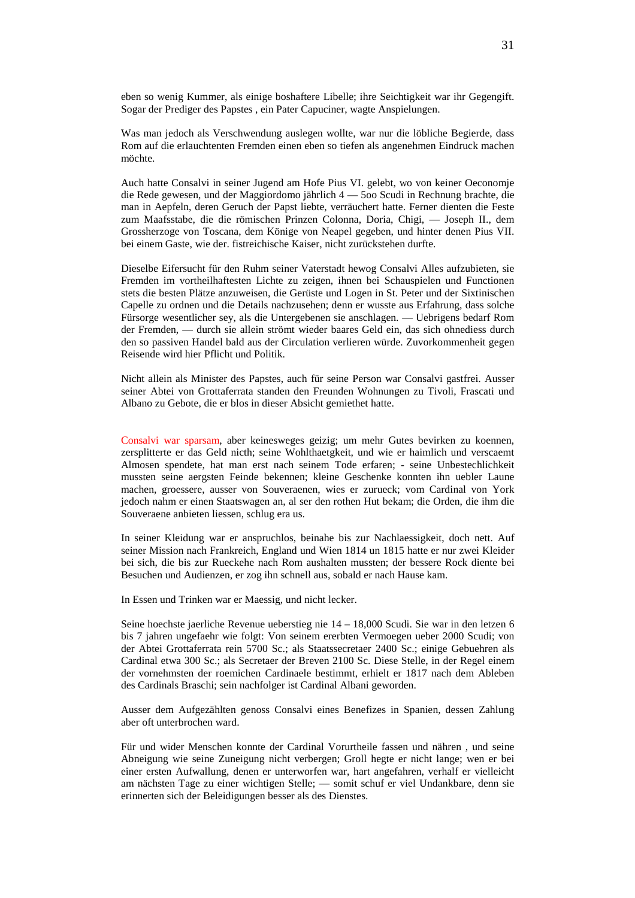eben so wenig Kummer, als einige boshaftere Libelle; ihre Seichtigkeit war ihr Gegengift. Sogar der Prediger des Papstes , ein Pater Capuciner, wagte Anspielungen.

Was man jedoch als Verschwendung auslegen wollte, war nur die löbliche Begierde, dass Rom auf die erlauchtenten Fremden einen eben so tiefen als angenehmen Eindruck machen möchte.

Auch hatte Consalvi in seiner Jugend am Hofe Pius VI. gelebt, wo von keiner Oeconomje die Rede gewesen, und der Maggiordomo jährlich 4 — 5oo Scudi in Rechnung brachte, die man in Aepfeln, deren Geruch der Papst liebte, verräuchert hatte. Ferner dienten die Feste zum Maafsstabe, die die römischen Prinzen Colonna, Doria, Chigi, — Joseph II., dem Grossherzoge von Toscana, dem Könige von Neapel gegeben, und hinter denen Pius VII. bei einem Gaste, wie der. fistreichische Kaiser, nicht zurückstehen durfte.

Dieselbe Eifersucht für den Ruhm seiner Vaterstadt hewog Consalvi Alles aufzubieten, sie Fremden im vortheilhaftesten Lichte zu zeigen, ihnen bei Schauspielen und Functionen stets die besten Plätze anzuweisen, die Gerüste und Logen in St. Peter und der Sixtinischen Capelle zu ordnen und die Details nachzusehen; denn er wusste aus Erfahrung, dass solche Fürsorge wesentlicher sey, als die Untergebenen sie anschlagen. — Uebrigens bedarf Rom der Fremden, — durch sie allein strömt wieder baares Geld ein, das sich ohnediess durch den so passiven Handel bald aus der Circulation verlieren würde. Zuvorkommenheit gegen Reisende wird hier Pflicht und Politik.

Nicht allein als Minister des Papstes, auch für seine Person war Consalvi gastfrei. Ausser seiner Abtei von Grottaferrata standen den Freunden Wohnungen zu Tivoli, Frascati und Albano zu Gebote, die er blos in dieser Absicht gemiethet hatte.

Consalvi war sparsam, aber keinesweges geizig; um mehr Gutes bevirken zu koennen, zersplitterte er das Geld nicth; seine Wohlthaetgkeit, und wie er haimlich und verscaemt Almosen spendete, hat man erst nach seinem Tode erfaren; - seine Unbestechlichkeit mussten seine aergsten Feinde bekennen; kleine Geschenke konnten ihn uebler Laune machen, groessere, ausser von Souveraenen, wies er zurueck; vom Cardinal von York jedoch nahm er einen Staatswagen an, al ser den rothen Hut bekam; die Orden, die ihm die Souveraene anbieten liessen, schlug era us.

In seiner Kleidung war er anspruchlos, beinahe bis zur Nachlaessigkeit, doch nett. Auf seiner Mission nach Frankreich, England und Wien 1814 un 1815 hatte er nur zwei Kleider bei sich, die bis zur Rueckehe nach Rom aushalten mussten; der bessere Rock diente bei Besuchen und Audienzen, er zog ihn schnell aus, sobald er nach Hause kam.

In Essen und Trinken war er Maessig, und nicht lecker.

Seine hoechste jaerliche Revenue ueberstieg nie 14 – 18,000 Scudi. Sie war in den letzen 6 bis 7 jahren ungefaehr wie folgt: Von seinem ererbten Vermoegen ueber 2000 Scudi; von der Abtei Grottaferrata rein 5700 Sc.; als Staatssecretaer 2400 Sc.; einige Gebuehren als Cardinal etwa 300 Sc.; als Secretaer der Breven 2100 Sc. Diese Stelle, in der Regel einem der vornehmsten der roemichen Cardinaele bestimmt, erhielt er 1817 nach dem Ableben des Cardinals Braschi; sein nachfolger ist Cardinal Albani geworden.

Ausser dem Aufgezählten genoss Consalvi eines Benefizes in Spanien, dessen Zahlung aber oft unterbrochen ward.

Für und wider Menschen konnte der Cardinal Vorurtheile fassen und nähren , und seine Abneigung wie seine Zuneigung nicht verbergen; Groll hegte er nicht lange; wen er bei einer ersten Aufwallung, denen er unterworfen war, hart angefahren, verhalf er vielleicht am nächsten Tage zu einer wichtigen Stelle; — somit schuf er viel Undankbare, denn sie erinnerten sich der Beleidigungen besser als des Dienstes.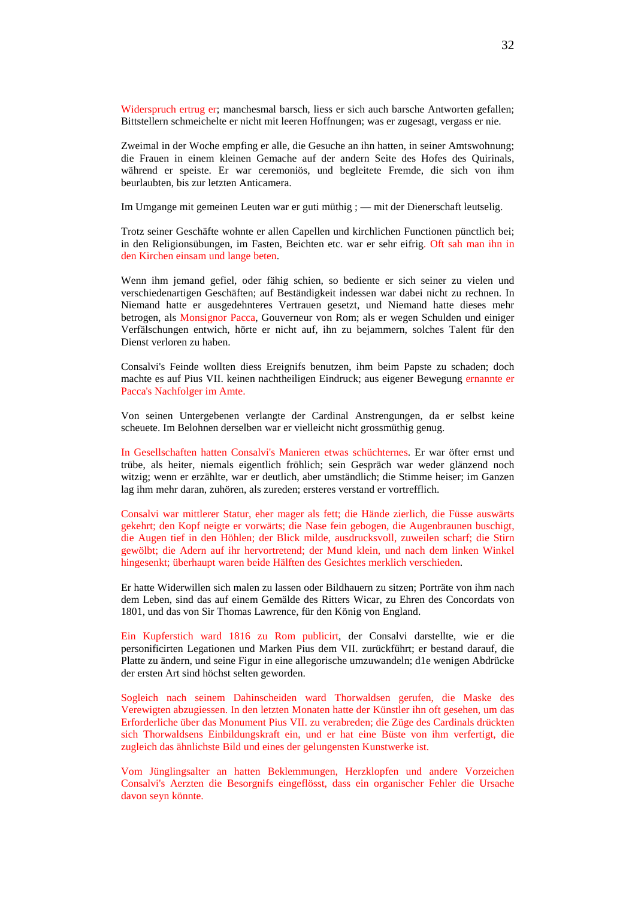Widerspruch ertrug er; manchesmal barsch, liess er sich auch barsche Antworten gefallen; Bittstellern schmeichelte er nicht mit leeren Hoffnungen; was er zugesagt, vergass er nie.

Zweimal in der Woche empfing er alle, die Gesuche an ihn hatten, in seiner Amtswohnung; die Frauen in einem kleinen Gemache auf der andern Seite des Hofes des Quirinals, während er speiste. Er war ceremoniös, und begleitete Fremde, die sich von ihm beurlaubten, bis zur letzten Anticamera.

Im Umgange mit gemeinen Leuten war er guti müthig ; — mit der Dienerschaft leutselig.

Trotz seiner Geschäfte wohnte er allen Capellen und kirchlichen Functionen pünctlich bei; in den Religionsübungen, im Fasten, Beichten etc. war er sehr eifrig. Oft sah man ihn in den Kirchen einsam und lange beten.

Wenn ihm jemand gefiel, oder fähig schien, so bediente er sich seiner zu vielen und verschiedenartigen Geschäften; auf Beständigkeit indessen war dabei nicht zu rechnen. In Niemand hatte er ausgedehnteres Vertrauen gesetzt, und Niemand hatte dieses mehr betrogen, als Monsignor Pacca, Gouverneur von Rom; als er wegen Schulden und einiger Verfälschungen entwich, hörte er nicht auf, ihn zu bejammern, solches Talent für den Dienst verloren zu haben.

Consalvi's Feinde wollten diess Ereignifs benutzen, ihm beim Papste zu schaden; doch machte es auf Pius VII. keinen nachtheiligen Eindruck; aus eigener Bewegung ernannte er Pacca's Nachfolger im Amte.

Von seinen Untergebenen verlangte der Cardinal Anstrengungen, da er selbst keine scheuete. Im Belohnen derselben war er vielleicht nicht grossmüthig genug.

In Gesellschaften hatten Consalvi's Manieren etwas schüchternes. Er war öfter ernst und trübe, als heiter, niemals eigentlich fröhlich; sein Gespräch war weder glänzend noch witzig; wenn er erzählte, war er deutlich, aber umständlich; die Stimme heiser; im Ganzen lag ihm mehr daran, zuhören, als zureden; ersteres verstand er vortrefflich.

Consalvi war mittlerer Statur, eher mager als fett; die Hände zierlich, die Füsse auswärts gekehrt; den Kopf neigte er vorwärts; die Nase fein gebogen, die Augenbraunen buschigt, die Augen tief in den Höhlen; der Blick milde, ausdrucksvoll, zuweilen scharf; die Stirn gewölbt; die Adern auf ihr hervortretend; der Mund klein, und nach dem linken Winkel hingesenkt; überhaupt waren beide Hälften des Gesichtes merklich verschieden.

Er hatte Widerwillen sich malen zu lassen oder Bildhauern zu sitzen; Porträte von ihm nach dem Leben, sind das auf einem Gemälde des Ritters Wicar, zu Ehren des Concordats von 1801, und das von Sir Thomas Lawrence, für den König von England.

Ein Kupferstich ward 1816 zu Rom publicirt, der Consalvi darstellte, wie er die personificirten Legationen und Marken Pius dem VII. zurückführt; er bestand darauf, die Platte zu ändern, und seine Figur in eine allegorische umzuwandeln; d1e wenigen Abdrücke der ersten Art sind höchst selten geworden.

Sogleich nach seinem Dahinscheiden ward Thorwaldsen gerufen, die Maske des Verewigten abzugiessen. In den letzten Monaten hatte der Künstler ihn oft gesehen, um das Erforderliche über das Monument Pius VII. zu verabreden; die Züge des Cardinals drückten sich Thorwaldsens Einbildungskraft ein, und er hat eine Büste von ihm verfertigt, die zugleich das ähnlichste Bild und eines der gelungensten Kunstwerke ist.

Vom Jünglingsalter an hatten Beklemmungen, Herzklopfen und andere Vorzeichen Consalvi's Aerzten die Besorgnifs eingeflösst, dass ein organischer Fehler die Ursache davon seyn könnte.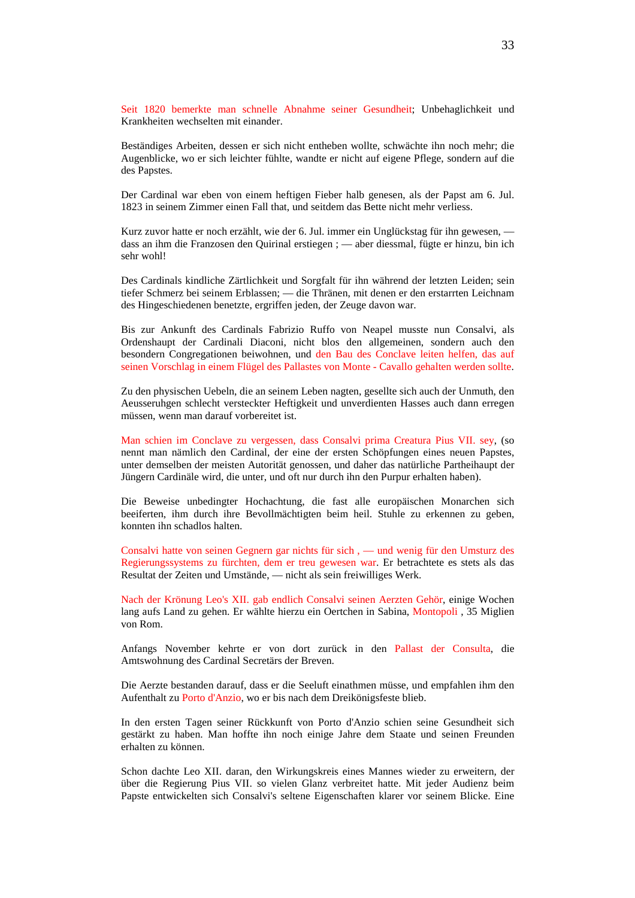Seit 1820 bemerkte man schnelle Abnahme seiner Gesundheit; Unbehaglichkeit und Krankheiten wechselten mit einander.

Beständiges Arbeiten, dessen er sich nicht entheben wollte, schwächte ihn noch mehr; die Augenblicke, wo er sich leichter fühlte, wandte er nicht auf eigene Pflege, sondern auf die des Papstes.

Der Cardinal war eben von einem heftigen Fieber halb genesen, als der Papst am 6. Jul. 1823 in seinem Zimmer einen Fall that, und seitdem das Bette nicht mehr verliess.

Kurz zuvor hatte er noch erzählt, wie der 6. Jul. immer ein Unglückstag für ihn gewesen, dass an ihm die Franzosen den Quirinal erstiegen ; — aber diessmal, fügte er hinzu, bin ich sehr wohl!

Des Cardinals kindliche Zärtlichkeit und Sorgfalt für ihn während der letzten Leiden; sein tiefer Schmerz bei seinem Erblassen; — die Thränen, mit denen er den erstarrten Leichnam des Hingeschiedenen benetzte, ergriffen jeden, der Zeuge davon war.

Bis zur Ankunft des Cardinals Fabrizio Ruffo von Neapel musste nun Consalvi, als Ordenshaupt der Cardinali Diaconi, nicht blos den allgemeinen, sondern auch den besondern Congregationen beiwohnen, und den Bau des Conclave leiten helfen, das auf seinen Vorschlag in einem Flügel des Pallastes von Monte - Cavallo gehalten werden sollte.

Zu den physischen Uebeln, die an seinem Leben nagten, gesellte sich auch der Unmuth, den Aeusseruhgen schlecht versteckter Heftigkeit und unverdienten Hasses auch dann erregen müssen, wenn man darauf vorbereitet ist.

Man schien im Conclave zu vergessen, dass Consalvi prima Creatura Pius VII. sey, (so nennt man nämlich den Cardinal, der eine der ersten Schöpfungen eines neuen Papstes, unter demselben der meisten Autorität genossen, und daher das natürliche Partheihaupt der Jüngern Cardinäle wird, die unter, und oft nur durch ihn den Purpur erhalten haben).

Die Beweise unbedingter Hochachtung, die fast alle europäischen Monarchen sich beeiferten, ihm durch ihre Bevollmächtigten beim heil. Stuhle zu erkennen zu geben, konnten ihn schadlos halten.

Consalvi hatte von seinen Gegnern gar nichts für sich , — und wenig für den Umsturz des Regierungssystems zu fürchten, dem er treu gewesen war. Er betrachtete es stets als das Resultat der Zeiten und Umstände, — nicht als sein freiwilliges Werk.

Nach der Krönung Leo's XII. gab endlich Consalvi seinen Aerzten Gehör, einige Wochen lang aufs Land zu gehen. Er wählte hierzu ein Oertchen in Sabina, Montopoli , 35 Miglien von Rom.

Anfangs November kehrte er von dort zurück in den Pallast der Consulta, die Amtswohnung des Cardinal Secretärs der Breven.

Die Aerzte bestanden darauf, dass er die Seeluft einathmen müsse, und empfahlen ihm den Aufenthalt zu Porto d'Anzio, wo er bis nach dem Dreikönigsfeste blieb.

In den ersten Tagen seiner Rückkunft von Porto d'Anzio schien seine Gesundheit sich gestärkt zu haben. Man hoffte ihn noch einige Jahre dem Staate und seinen Freunden erhalten zu können.

Schon dachte Leo XII. daran, den Wirkungskreis eines Mannes wieder zu erweitern, der über die Regierung Pius VII. so vielen Glanz verbreitet hatte. Mit jeder Audienz beim Papste entwickelten sich Consalvi's seltene Eigenschaften klarer vor seinem Blicke. Eine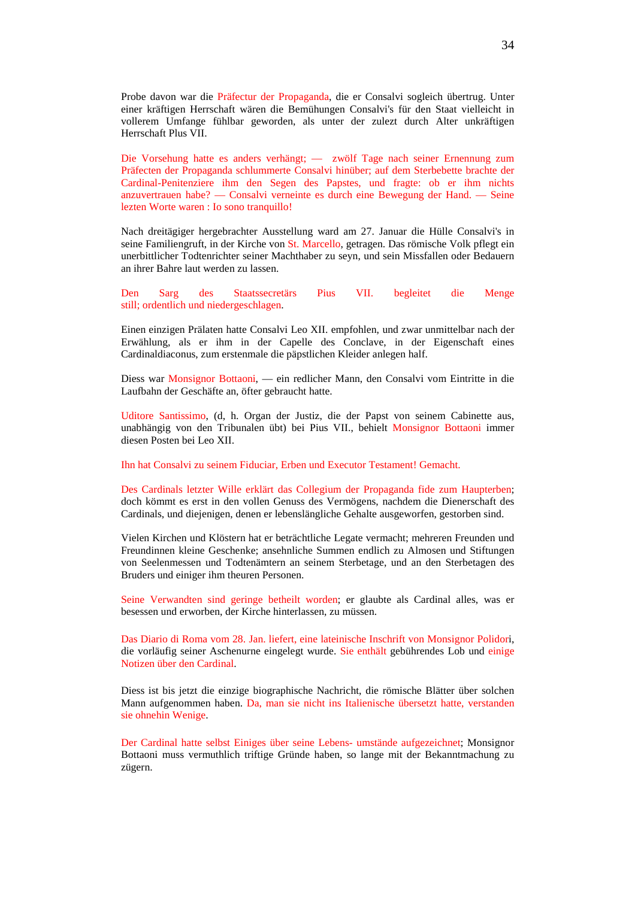Probe davon war die Präfectur der Propaganda, die er Consalvi sogleich übertrug. Unter einer kräftigen Herrschaft wären die Bemühungen Consalvi's für den Staat vielleicht in vollerem Umfange fühlbar geworden, als unter der zulezt durch Alter unkräftigen Herrschaft Plus VII.

Die Vorsehung hatte es anders verhängt; — zwölf Tage nach seiner Ernennung zum Präfecten der Propaganda schlummerte Consalvi hinüber; auf dem Sterbebette brachte der Cardinal-Penitenziere ihm den Segen des Papstes, und fragte: ob er ihm nichts anzuvertrauen habe? — Consalvi verneinte es durch eine Bewegung der Hand. — Seine lezten Worte waren : Io sono tranquillo!

Nach dreitägiger hergebrachter Ausstellung ward am 27. Januar die Hülle Consalvi's in seine Familiengruft, in der Kirche von St. Marcello, getragen. Das römische Volk pflegt ein unerbittlicher Todtenrichter seiner Machthaber zu seyn, und sein Missfallen oder Bedauern an ihrer Bahre laut werden zu lassen.

Den Sarg des Staatssecretärs Pius VII. begleitet die Menge still; ordentlich und niedergeschlagen.

Einen einzigen Prälaten hatte Consalvi Leo XII. empfohlen, und zwar unmittelbar nach der Erwählung, als er ihm in der Capelle des Conclave, in der Eigenschaft eines Cardinaldiaconus, zum erstenmale die päpstlichen Kleider anlegen half.

Diess war Monsignor Bottaoni, — ein redlicher Mann, den Consalvi vom Eintritte in die Laufbahn der Geschäfte an, öfter gebraucht hatte.

Uditore Santissimo, (d, h. Organ der Justiz, die der Papst von seinem Cabinette aus, unabhängig von den Tribunalen übt) bei Pius VII., behielt Monsignor Bottaoni immer diesen Posten bei Leo XII.

Ihn hat Consalvi zu seinem Fiduciar, Erben und Executor Testament! Gemacht.

Des Cardinals letzter Wille erklärt das Collegium der Propaganda fide zum Haupterben; doch kömmt es erst in den vollen Genuss des Vermögens, nachdem die Dienerschaft des Cardinals, und diejenigen, denen er lebenslängliche Gehalte ausgeworfen, gestorben sind.

Vielen Kirchen und Klöstern hat er beträchtliche Legate vermacht; mehreren Freunden und Freundinnen kleine Geschenke; ansehnliche Summen endlich zu Almosen und Stiftungen von Seelenmessen und Todtenämtern an seinem Sterbetage, und an den Sterbetagen des Bruders und einiger ihm theuren Personen.

Seine Verwandten sind geringe betheilt worden; er glaubte als Cardinal alles, was er besessen und erworben, der Kirche hinterlassen, zu müssen.

Das Diario di Roma vom 28. Jan. liefert, eine lateinische Inschrift von Monsignor Polidori, die vorläufig seiner Aschenurne eingelegt wurde. Sie enthält gebührendes Lob und einige Notizen über den Cardinal.

Diess ist bis jetzt die einzige biographische Nachricht, die römische Blätter über solchen Mann aufgenommen haben. Da, man sie nicht ins Italienische übersetzt hatte, verstanden sie ohnehin Wenige.

Der Cardinal hatte selbst Einiges über seine Lebens- umstände aufgezeichnet; Monsignor Bottaoni muss vermuthlich triftige Gründe haben, so lange mit der Bekanntmachung zu zügern.